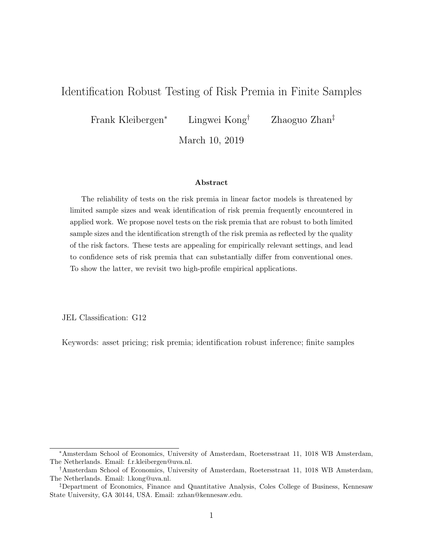## Identification Robust Testing of Risk Premia in Finite Samples

Frank Kleibergen<sup>∗</sup> Lingwei Kong† Zhaoguo Zhan‡

March 10, 2019

#### Abstract

The reliability of tests on the risk premia in linear factor models is threatened by limited sample sizes and weak identification of risk premia frequently encountered in applied work. We propose novel tests on the risk premia that are robust to both limited sample sizes and the identification strength of the risk premia as reflected by the quality of the risk factors. These tests are appealing for empirically relevant settings, and lead to confidence sets of risk premia that can substantially differ from conventional ones. To show the latter, we revisit two high-profile empirical applications.

JEL Classification: G12

Keywords: asset pricing; risk premia; identification robust inference; finite samples

<sup>∗</sup>Amsterdam School of Economics, University of Amsterdam, Roetersstraat 11, 1018 WB Amsterdam, The Netherlands. Email: f.r.kleibergen@uva.nl.

<sup>†</sup>Amsterdam School of Economics, University of Amsterdam, Roetersstraat 11, 1018 WB Amsterdam, The Netherlands. Email: l.kong@uva.nl.

<sup>‡</sup>Department of Economics, Finance and Quantitative Analysis, Coles College of Business, Kennesaw State University, GA 30144, USA. Email: zzhan@kennesaw.edu.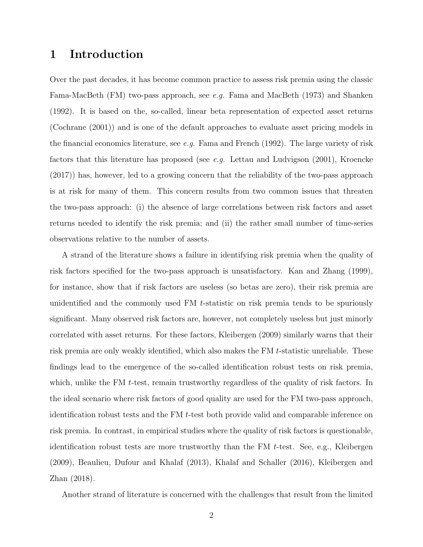## 1 Introduction

Over the past decades, it has become common practice to assess risk premia using the classic Fama-MacBeth (FM) two-pass approach, see e.g. Fama and MacBeth (1973) and Shanken (1992). It is based on the, so-called, linear beta representation of expected asset returns (Cochrane (2001)) and is one of the default approaches to evaluate asset pricing models in the financial economics literature, see e.g. Fama and French (1992). The large variety of risk factors that this literature has proposed (see e.g. Lettau and Ludvigson  $(2001)$ , Kroencke (2017)) has, however, led to a growing concern that the reliability of the two-pass approach is at risk for many of them. This concern results from two common issues that threaten the two-pass approach: (i) the absence of large correlations between risk factors and asset returns needed to identify the risk premia; and (ii) the rather small number of time-series observations relative to the number of assets.

A strand of the literature shows a failure in identifying risk premia when the quality of risk factors specified for the two-pass approach is unsatisfactory. Kan and Zhang (1999), for instance, show that if risk factors are useless (so betas are zero), their risk premia are unidentified and the commonly used FM t-statistic on risk premia tends to be spuriously significant. Many observed risk factors are, however, not completely useless but just minorly correlated with asset returns. For these factors, Kleibergen (2009) similarly warns that their risk premia are only weakly identified, which also makes the FM t-statistic unreliable. These findings lead to the emergence of the so-called identification robust tests on risk premia, which, unlike the FM t-test, remain trustworthy regardless of the quality of risk factors. In the ideal scenario where risk factors of good quality are used for the FM two-pass approach, identification robust tests and the FM t-test both provide valid and comparable inference on risk premia. In contrast, in empirical studies where the quality of risk factors is questionable, identification robust tests are more trustworthy than the FM t-test. See, e.g., Kleibergen (2009), Beaulieu, Dufour and Khalaf (2013), Khalaf and Schaller (2016), Kleibergen and Zhan (2018).

Another strand of literature is concerned with the challenges that result from the limited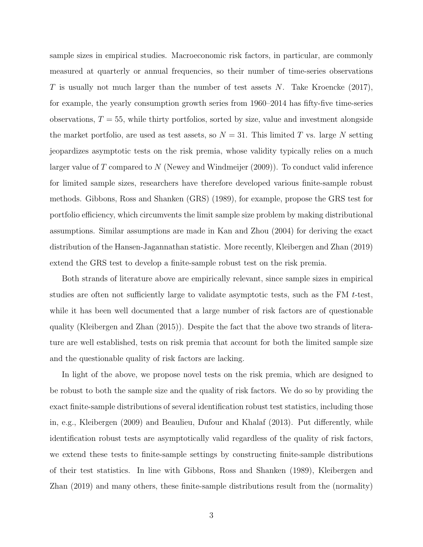sample sizes in empirical studies. Macroeconomic risk factors, in particular, are commonly measured at quarterly or annual frequencies, so their number of time-series observations T is usually not much larger than the number of test assets  $N$ . Take Kroencke  $(2017)$ , for example, the yearly consumption growth series from 1960–2014 has fifty-five time-series observations,  $T = 55$ , while thirty portfolios, sorted by size, value and investment alongside the market portfolio, are used as test assets, so  $N = 31$ . This limited T vs. large N setting jeopardizes asymptotic tests on the risk premia, whose validity typically relies on a much larger value of T compared to N (Newey and Windmeijer (2009)). To conduct valid inference for limited sample sizes, researchers have therefore developed various finite-sample robust methods. Gibbons, Ross and Shanken (GRS) (1989), for example, propose the GRS test for portfolio efficiency, which circumvents the limit sample size problem by making distributional assumptions. Similar assumptions are made in Kan and Zhou (2004) for deriving the exact distribution of the Hansen-Jagannathan statistic. More recently, Kleibergen and Zhan (2019) extend the GRS test to develop a finite-sample robust test on the risk premia.

Both strands of literature above are empirically relevant, since sample sizes in empirical studies are often not sufficiently large to validate asymptotic tests, such as the FM t-test, while it has been well documented that a large number of risk factors are of questionable quality (Kleibergen and Zhan (2015)). Despite the fact that the above two strands of literature are well established, tests on risk premia that account for both the limited sample size and the questionable quality of risk factors are lacking.

In light of the above, we propose novel tests on the risk premia, which are designed to be robust to both the sample size and the quality of risk factors. We do so by providing the exact finite-sample distributions of several identification robust test statistics, including those in, e.g., Kleibergen (2009) and Beaulieu, Dufour and Khalaf (2013). Put differently, while identification robust tests are asymptotically valid regardless of the quality of risk factors, we extend these tests to finite-sample settings by constructing finite-sample distributions of their test statistics. In line with Gibbons, Ross and Shanken (1989), Kleibergen and Zhan (2019) and many others, these finite-sample distributions result from the (normality)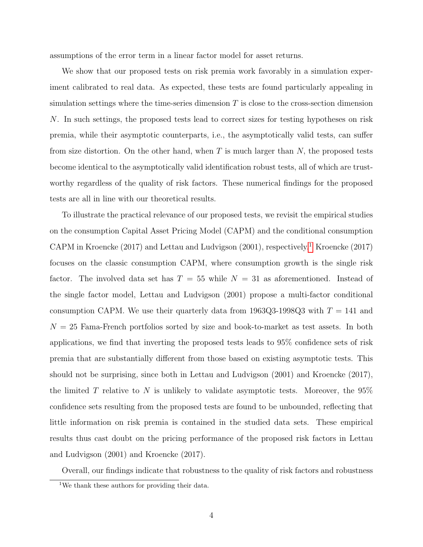assumptions of the error term in a linear factor model for asset returns.

We show that our proposed tests on risk premia work favorably in a simulation experiment calibrated to real data. As expected, these tests are found particularly appealing in simulation settings where the time-series dimension  $T$  is close to the cross-section dimension N. In such settings, the proposed tests lead to correct sizes for testing hypotheses on risk premia, while their asymptotic counterparts, i.e., the asymptotically valid tests, can suffer from size distortion. On the other hand, when  $T$  is much larger than  $N$ , the proposed tests become identical to the asymptotically valid identification robust tests, all of which are trustworthy regardless of the quality of risk factors. These numerical findings for the proposed tests are all in line with our theoretical results.

To illustrate the practical relevance of our proposed tests, we revisit the empirical studies on the consumption Capital Asset Pricing Model (CAPM) and the conditional consumption CAPM in Kroencke (20[1](#page-3-0)7) and Lettau and Ludvigson (2001), respectively.<sup>1</sup> Kroencke (2017) focuses on the classic consumption CAPM, where consumption growth is the single risk factor. The involved data set has  $T = 55$  while  $N = 31$  as aforementioned. Instead of the single factor model, Lettau and Ludvigson (2001) propose a multi-factor conditional consumption CAPM. We use their quarterly data from 1963Q3-1998Q3 with  $T = 141$  and  $N = 25$  Fama-French portfolios sorted by size and book-to-market as test assets. In both applications, we find that inverting the proposed tests leads to 95% confidence sets of risk premia that are substantially different from those based on existing asymptotic tests. This should not be surprising, since both in Lettau and Ludvigson (2001) and Kroencke (2017), the limited T relative to N is unlikely to validate asymptotic tests. Moreover, the  $95\%$ confidence sets resulting from the proposed tests are found to be unbounded, reflecting that little information on risk premia is contained in the studied data sets. These empirical results thus cast doubt on the pricing performance of the proposed risk factors in Lettau and Ludvigson (2001) and Kroencke (2017).

Overall, our findings indicate that robustness to the quality of risk factors and robustness

<span id="page-3-0"></span><sup>&</sup>lt;sup>1</sup>We thank these authors for providing their data.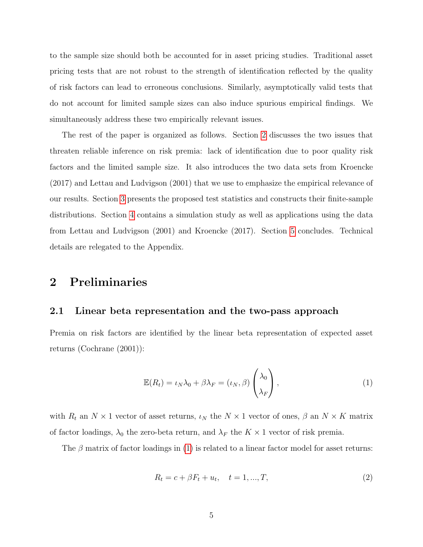to the sample size should both be accounted for in asset pricing studies. Traditional asset pricing tests that are not robust to the strength of identification reflected by the quality of risk factors can lead to erroneous conclusions. Similarly, asymptotically valid tests that do not account for limited sample sizes can also induce spurious empirical findings. We simultaneously address these two empirically relevant issues.

The rest of the paper is organized as follows. Section [2](#page-4-0) discusses the two issues that threaten reliable inference on risk premia: lack of identification due to poor quality risk factors and the limited sample size. It also introduces the two data sets from Kroencke (2017) and Lettau and Ludvigson (2001) that we use to emphasize the empirical relevance of our results. Section [3](#page-11-0) presents the proposed test statistics and constructs their finite-sample distributions. Section [4](#page-22-0) contains a simulation study as well as applications using the data from Lettau and Ludvigson (2001) and Kroencke (2017). Section [5](#page-33-0) concludes. Technical details are relegated to the Appendix.

## <span id="page-4-0"></span>2 Preliminaries

### 2.1 Linear beta representation and the two-pass approach

Premia on risk factors are identified by the linear beta representation of expected asset returns (Cochrane (2001)):

<span id="page-4-1"></span>
$$
\mathbb{E}(R_t) = \iota_N \lambda_0 + \beta \lambda_F = (\iota_N, \beta) \begin{pmatrix} \lambda_0 \\ \lambda_F \end{pmatrix},
$$
\n(1)

with  $R_t$  an  $N \times 1$  vector of asset returns,  $\iota_N$  the  $N \times 1$  vector of ones,  $\beta$  an  $N \times K$  matrix of factor loadings,  $\lambda_0$  the zero-beta return, and  $\lambda_F$  the  $K \times 1$  vector of risk premia.

The  $\beta$  matrix of factor loadings in [\(1\)](#page-4-1) is related to a linear factor model for asset returns:

<span id="page-4-2"></span>
$$
R_t = c + \beta F_t + u_t, \quad t = 1, ..., T,
$$
\n(2)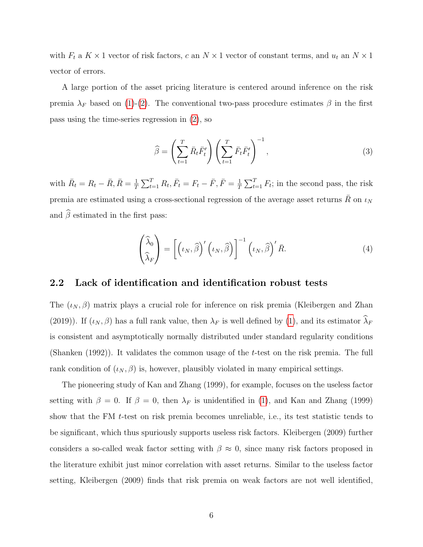with  $F_t$  a  $K \times 1$  vector of risk factors, c an  $N \times 1$  vector of constant terms, and  $u_t$  an  $N \times 1$ vector of errors.

A large portion of the asset pricing literature is centered around inference on the risk premia  $\lambda_F$  based on [\(1\)](#page-4-1)-[\(2\)](#page-4-2). The conventional two-pass procedure estimates  $\beta$  in the first pass using the time-series regression in [\(2\)](#page-4-2), so

<span id="page-5-0"></span>
$$
\widehat{\beta} = \left(\sum_{t=1}^{T} \bar{R}_t \bar{F}'_t\right) \left(\sum_{t=1}^{T} \bar{F}_t \bar{F}'_t\right)^{-1},\tag{3}
$$

with  $\bar{R}_t = R_t - \bar{R}, \bar{R} = \frac{1}{7}$  $\frac{1}{T} \sum_{t=1}^{T} R_t, \bar{F}_t = F_t - \bar{F}, \bar{F} = \frac{1}{T}$  $\frac{1}{T} \sum_{t=1}^{T} F_t$ ; in the second pass, the risk premia are estimated using a cross-sectional regression of the average asset returns  $\bar{R}$  on  $\iota_N$ and  $\widehat{\beta}$  estimated in the first pass:

$$
\begin{pmatrix} \widehat{\lambda}_0 \\ \widehat{\lambda}_F \end{pmatrix} = \left[ \left( \iota_N, \widehat{\beta} \right)' \left( \iota_N, \widehat{\beta} \right) \right]^{-1} \left( \iota_N, \widehat{\beta} \right)' \bar{R}.
$$
\n(4)

### 2.2 Lack of identification and identification robust tests

The  $(\iota_N, \beta)$  matrix plays a crucial role for inference on risk premia (Kleibergen and Zhan (2019)). If  $(\iota_N, \beta)$  has a full rank value, then  $\lambda_F$  is well defined by [\(1\)](#page-4-1), and its estimator  $\widehat{\lambda}_F$ is consistent and asymptotically normally distributed under standard regularity conditions (Shanken (1992)). It validates the common usage of the t-test on the risk premia. The full rank condition of  $(\iota_N, \beta)$  is, however, plausibly violated in many empirical settings.

The pioneering study of Kan and Zhang (1999), for example, focuses on the useless factor setting with  $\beta = 0$ . If  $\beta = 0$ , then  $\lambda_F$  is unidentified in [\(1\)](#page-4-1), and Kan and Zhang (1999) show that the FM t-test on risk premia becomes unreliable, i.e., its test statistic tends to be significant, which thus spuriously supports useless risk factors. Kleibergen (2009) further considers a so-called weak factor setting with  $\beta \approx 0$ , since many risk factors proposed in the literature exhibit just minor correlation with asset returns. Similar to the useless factor setting, Kleibergen (2009) finds that risk premia on weak factors are not well identified,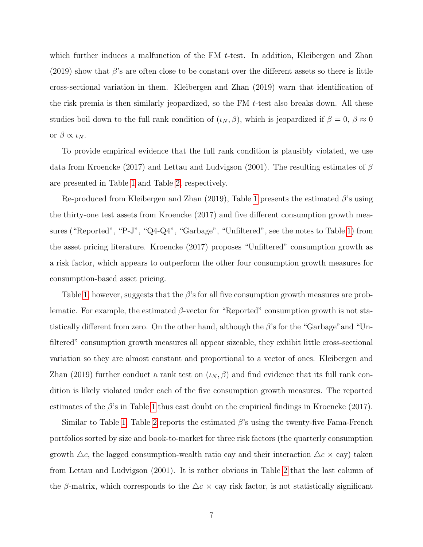which further induces a malfunction of the FM  $t$ -test. In addition, Kleibergen and Zhan  $(2019)$  show that  $\beta$ 's are often close to be constant over the different assets so there is little cross-sectional variation in them. Kleibergen and Zhan (2019) warn that identification of the risk premia is then similarly jeopardized, so the FM  $t$ -test also breaks down. All these studies boil down to the full rank condition of  $(\iota_N, \beta)$ , which is jeopardized if  $\beta = 0, \beta \approx 0$ or  $\beta \propto \iota_N$ .

To provide empirical evidence that the full rank condition is plausibly violated, we use data from Kroencke (2017) and Lettau and Ludvigson (2001). The resulting estimates of  $\beta$ are presented in Table [1](#page-7-0) and Table [2,](#page-8-0) respectively.

Re-produced from Kleibergen and Zhan (2019), Table [1](#page-7-0) presents the estimated  $\beta$ 's using the thirty-one test assets from Kroencke (2017) and five different consumption growth measures ("Reported", "P-J", "Q4-Q4", "Garbage", "Unfiltered", see the notes to Table [1\)](#page-7-0) from the asset pricing literature. Kroencke (2017) proposes "Unfiltered" consumption growth as a risk factor, which appears to outperform the other four consumption growth measures for consumption-based asset pricing.

Table [1,](#page-7-0) however, suggests that the  $\beta$ 's for all five consumption growth measures are problematic. For example, the estimated  $\beta$ -vector for "Reported" consumption growth is not statistically different from zero. On the other hand, although the  $\beta$ 's for the "Garbage" and "Unfiltered" consumption growth measures all appear sizeable, they exhibit little cross-sectional variation so they are almost constant and proportional to a vector of ones. Kleibergen and Zhan (2019) further conduct a rank test on  $(\iota_N, \beta)$  and find evidence that its full rank condition is likely violated under each of the five consumption growth measures. The reported estimates of the  $\beta$ 's in Table [1](#page-7-0) thus cast doubt on the empirical findings in Kroencke (2017).

Similar to Table [1,](#page-7-0) Table [2](#page-8-0) reports the estimated  $\beta$ 's using the twenty-five Fama-French portfolios sorted by size and book-to-market for three risk factors (the quarterly consumption growth  $\Delta c$ , the lagged consumption-wealth ratio cay and their interaction  $\Delta c \times c$ ay) taken from Lettau and Ludvigson (2001). It is rather obvious in Table [2](#page-8-0) that the last column of the β-matrix, which corresponds to the  $\Delta c \times c$ ay risk factor, is not statistically significant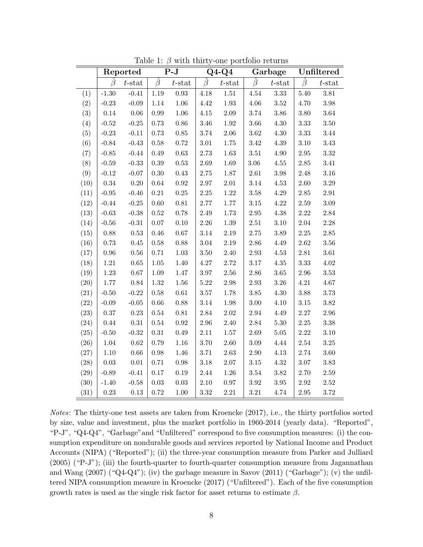|      | Reported   |           | $P-J$      |            | $Q4-Q4$  |           | Garbage  |           | Unfiltered |           |
|------|------------|-----------|------------|------------|----------|-----------|----------|-----------|------------|-----------|
|      | B          | $t$ -stat | $\beta$    | $t$ -stat  | $\beta$  | $t$ -stat | $\beta$  | $t$ -stat | $\beta$    | $t$ -stat |
| (1)  | $-1.30$    | $-0.41$   | 1.19       | 0.93       | 4.18     | $1.51\,$  | $4.54\,$ | $3.33\,$  | 5.40       | 3.81      |
| (2)  | $-0.23$    | $-0.09$   | $1.14\,$   | $1.06\,$   | 4.42     | $1.93\,$  | $4.06\,$ | $3.52\,$  | 4.70       | $3.98\,$  |
| (3)  | 0.14       | 0.06      | $0.99\,$   | $1.06\,$   | $4.15\,$ | $2.09\,$  | 3.74     | $3.86\,$  | $3.80\,$   | $3.64\,$  |
| (4)  | $-0.52$    | $-0.25$   | 0.73       | $0.86\,$   | 3.46     | 1.92      | 3.66     | $4.30\,$  | $3.33\,$   | $3.50\,$  |
| (5)  | $-0.23$    | $-0.11$   | 0.73       | $0.85\,$   | 3.74     | $2.06\,$  | $3.62\,$ | 4.30      | $3.33\,$   | $3.44\,$  |
| (6)  | $-0.84$    | $-0.43$   | $0.58\,$   | $0.72\,$   | $3.01\,$ | $1.75\,$  | $3.42\,$ | 4.39      | $3.10\,$   | $3.43\,$  |
| (7)  | $-0.85$    | $-0.44$   | 0.49       | $\,0.63\,$ | 2.73     | $1.63\,$  | $3.51\,$ | $4.90\,$  | $2.95\,$   | $3.32\,$  |
| (8)  | $-0.59$    | $-0.33$   | $0.39\,$   | $\rm 0.53$ | $2.69\,$ | 1.69      | $3.06\,$ | $4.55\,$  | $2.85\,$   | $3.41\,$  |
| (9)  | $-0.12$    | $-0.07$   | 0.30       | $0.43\,$   | 2.75     | $1.87\,$  | $2.61\,$ | $3.98\,$  | 2.48       | $3.16\,$  |
| (10) | 0.34       | $0.20\,$  | $\,0.64\,$ | $\rm 0.92$ | $2.97\,$ | $2.01\,$  | $3.14\,$ | $4.53\,$  | 2.60       | $3.29\,$  |
| (11) | $-0.95$    | $-0.46$   | $0.21\,$   | $0.25\,$   | $2.25\,$ | $1.22\,$  | $3.58\,$ | $4.29\,$  | $2.85\,$   | $2.91\,$  |
| (12) | $-0.44$    | $-0.25$   | 0.60       | $\rm 0.81$ | 2.77     | $1.77\,$  | $3.15\,$ | $4.22\,$  | $2.59\,$   | $3.09\,$  |
| (13) | $-0.63$    | $-0.38$   | 0.52       | 0.78       | $2.49\,$ | $1.73\,$  | $2.95\,$ | $4.38\,$  | $2.22\,$   | $2.84\,$  |
| (14) | $-0.56$    | $-0.31$   | 0.07       | $0.10\,$   | $2.26\,$ | $1.39\,$  | $2.51\,$ | $3.10\,$  | $2.04\,$   | $2.28\,$  |
| (15) | 0.88       | 0.53      | 0.46       | $0.67\,$   | 3.14     | $2.19\,$  | $2.75\,$ | $3.89\,$  | $2.25\,$   | $2.85\,$  |
| (16) | 0.73       | 0.45      | $0.58\,$   | $0.88\,$   | $3.04\,$ | $2.19\,$  | $2.86\,$ | $4.49\,$  | $2.62\,$   | $3.56\,$  |
| (17) | $\rm 0.96$ | $0.56\,$  | 0.71       | $1.03\,$   | $3.50\,$ | 2.40      | $2.93\,$ | 4.53      | $2.81\,$   | $3.61\,$  |
| (18) | $1.21\,$   | $0.65\,$  | 1.05       | $1.40\,$   | 4.27     | 2.72      | $3.17\,$ | $4.35\,$  | $3.33\,$   | $4.02\,$  |
| (19) | $1.23\,$   | $0.67\,$  | $1.09\,$   | $1.47\,$   | $3.97\,$ | $2.56\,$  | $2.86\,$ | $3.65\,$  | $2.96\,$   | $3.53\,$  |
| (20) | 1.77       | $0.84\,$  | $1.32\,$   | $1.56\,$   | $5.22\,$ | $2.98\,$  | $2.93\,$ | $3.26\,$  | $4.21\,$   | $4.67\,$  |
| (21) | $-0.50$    | $-0.22$   | 0.58       | $\,0.61\,$ | $3.57\,$ | $1.78\,$  | $3.85\,$ | $4.30\,$  | $3.88\,$   | $3.73\,$  |
| (22) | $-0.09$    | $-0.05$   | $0.66\,$   | 0.88       | 3.14     | $1.98\,$  | $3.00\,$ | 4.10      | $3.15\,$   | $3.82\,$  |
| (23) | 0.37       | 0.23      | $\rm 0.54$ | $0.81\,$   | 2.84     | $2.02\,$  | 2.94     | 4.49      | $2.27\,$   | $2.96\,$  |
| (24) | 0.44       | $0.31\,$  | $0.54\,$   | $\rm 0.92$ | $2.96\,$ | $2.40\,$  | $2.84\,$ | $5.30\,$  | $2.25\,$   | $3.38\,$  |
| (25) | $-0.50$    | $-0.32$   | $0.31\,$   | 0.49       | $2.11\,$ | $1.57\,$  | $2.69\,$ | $5.05\,$  | $2.22\,$   | $3.10\,$  |
| (26) | 1.04       | $0.62\,$  | 0.79       | $1.16\,$   | 3.70     | $2.60\,$  | $3.09\,$ | 4.44      | $2.54\,$   | $3.25\,$  |
| (27) | 1.10       | 0.66      | 0.98       | 1.46       | 3.71     | 2.63      | 2.90     | 4.13      | 2.74       | 3.60      |
| (28) | 0.03       | $0.01\,$  | 0.71       | $0.98\,$   | $3.18\,$ | $2.07\,$  | $3.15\,$ | $4.32\,$  | $3.07\,$   | $3.83\,$  |
| (29) | $-0.89$    | $-0.41$   | 0.17       | $0.19\,$   | 2.44     | $1.26\,$  | $3.54\,$ | $3.82\,$  | 2.70       | $2.59\,$  |
| (30) | $-1.40$    | $-0.58$   | $0.03\,$   | $0.03\,$   | $2.10\,$ | $0.97\,$  | $3.92\,$ | $3.95\,$  | $2.92\,$   | $2.52\,$  |
| (31) | 0.23       | $0.13\,$  | 0.72       | $1.00\,$   | 3.32     | $2.21\,$  | $3.21\,$ | 4.74      | $2.95\,$   | 3.72      |

<span id="page-7-0"></span>Table 1:  $\beta$  with thirty-one portfolio returns

Notes: The thirty-one test assets are taken from Kroencke (2017), i.e., the thirty portfolios sorted by size, value and investment, plus the market portfolio in 1960-2014 (yearly data). "Reported", "P-J", "Q4-Q4", "Garbage"and "Unfiltered" correspond to five consumption measures: (i) the consumption expenditure on nondurable goods and services reported by National Income and Product Accounts (NIPA) ("Reported"); (ii) the three-year consumption measure from Parker and Julliard (2005) ("P-J"); (iii) the fourth-quarter to fourth-quarter consumption measure from Jagannathan and Wang  $(2007)$  ("Q4-Q4"); (iv) the garbage measure in Savov  $(2011)$  ("Garbage"); (v) the unfiltered NIPA consumption measure in Kroencke (2017) ("Unfiltered"). Each of the five consumption growth rates is used as the single risk factor for asset returns to estimate  $\beta$ .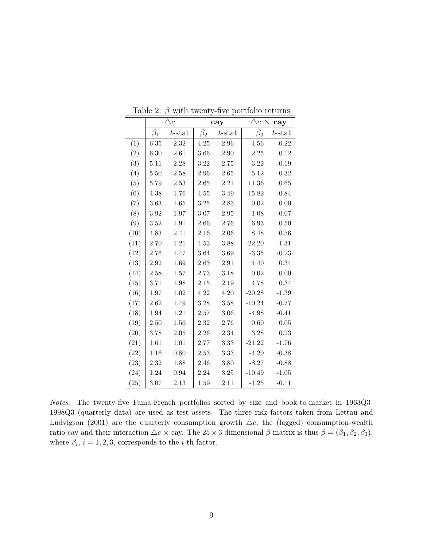|      | $\triangle c$ |           |           | cay       | $\triangle c \times c$ ay |           |  |
|------|---------------|-----------|-----------|-----------|---------------------------|-----------|--|
|      | $\beta_1$     | $t$ -stat | $\beta_2$ | $t$ -stat | $\beta_3$                 | $t$ -stat |  |
| (1)  | 6.35          | 2.32      | 4.25      | 2.96      | $-4.56$                   | $-0.22$   |  |
| (2)  | 6.30          | 2.61      | 3.66      | 2.90      | 2.25                      | 0.12      |  |
| (3)  | 5.11          | 2.28      | 3.22      | 2.75      | 3.22                      | 0.19      |  |
| (4)  | 5.50          | 2.58      | 2.96      | 2.65      | 5.12                      | 0.32      |  |
| (5)  | 5.79          | 2.53      | 2.65      | 2.21      | 11.36                     | 0.65      |  |
| (6)  | 4.38          | 1.76      | 4.55      | 3.49      | $-15.82$                  | $-0.84$   |  |
| (7)  | 3.63          | 1.65      | 3.25      | 2.83      | 0.02                      | 0.00      |  |
| (8)  | 3.92          | 1.97      | 3.07      | 2.95      | $-1.08$                   | $-0.07$   |  |
| (9)  | 3.52          | 1.91      | 2.66      | 2.76      | 6.93                      | 0.50      |  |
| (10) | 4.83          | 2.41      | 2.16      | 2.06      | 8.48                      | 0.56      |  |
| (11) | 2.70          | 1.21      | 4.53      | 3.88      | $-22.20$                  | $-1.31$   |  |
| (12) | 2.76          | 1.47      | 3.64      | 3.69      | $-3.35$                   | $-0.23$   |  |
| (13) | 2.92          | 1.69      | 2.63      | 2.91      | 4.40                      | 0.34      |  |
| (14) | 2.58          | 1.57      | 2.73      | 3.18      | 0.02                      | 0.00      |  |
| (15) | 3.71          | 1.98      | 2.15      | 2.19      | 4.78                      | 0.34      |  |
| (16) | 1.97          | 1.02      | 4.22      | 4.20      | $-20.28$                  | $-1.39$   |  |
| (17) | 2.62          | 1.49      | 3.28      | 3.58      | $-10.24$                  | $-0.77$   |  |
| (18) | 1.94          | 1.21      | 2.57      | 3.06      | $-4.98$                   | $-0.41$   |  |
| (19) | 2.50          | 1.56      | 2.32      | 2.76      | 0.60                      | 0.05      |  |
| (20) | 3.78          | 2.05      | 2.26      | 2.34      | 3.28                      | 0.23      |  |
| (21) | 1.61          | 1.01      | 2.77      | 3.33      | $-21.22$                  | $-1.76$   |  |
| (22) | 1.16          | 0.80      | 2.53      | 3.33      | $-4.20$                   | $-0.38$   |  |
| (23) | 2.32          | 1.88      | 2.46      | 3.80      | $-8.27$                   | $-0.88$   |  |
| (24) | 1.24          | 0.94      | 2.24      | $3.25\,$  | $-10.49$                  | $-1.05$   |  |
| (25) | 3.07          | 2.13      | 1.59      | 2.11      | $-1.25$                   | $-0.11$   |  |

<span id="page-8-0"></span>Table 2:  $\beta$  with twenty-five portfolio returns

Notes: The twenty-five Fama-French portfolios sorted by size and book-to-market in 1963Q3- 1998Q3 (quarterly data) are used as test assets. The three risk factors taken from Lettau and Ludvigson (2001) are the quarterly consumption growth  $\Delta c$ , the (lagged) consumption-wealth ratio cay and their interaction  $\triangle c \times$  cay. The 25  $\times$  3 dimensional  $\beta$  matrix is thus  $\beta = (\beta_1, \beta_2, \beta_3)$ , where  $\beta_i$ ,  $i = 1, 2, 3$ , corresponds to the *i*-th factor.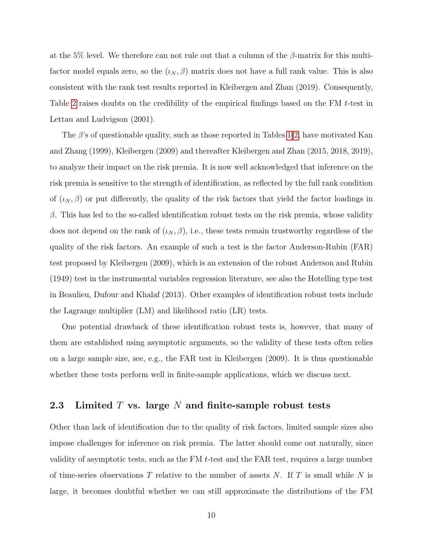at the 5% level. We therefore can not rule out that a column of the  $\beta$ -matrix for this multifactor model equals zero, so the  $(\iota_N, \beta)$  matrix does not have a full rank value. This is also consistent with the rank test results reported in Kleibergen and Zhan (2019). Consequently, Table [2](#page-8-0) raises doubts on the credibility of the empirical findings based on the FM t-test in Lettau and Ludvigson (2001).

The  $\beta$ 's of questionable quality, such as those reported in Tables [1-](#page-7-0)[2,](#page-8-0) have motivated Kan and Zhang (1999), Kleibergen (2009) and thereafter Kleibergen and Zhan (2015, 2018, 2019), to analyze their impact on the risk premia. It is now well acknowledged that inference on the risk premia is sensitive to the strength of identification, as reflected by the full rank condition of  $(\iota_N, \beta)$  or put differently, the quality of the risk factors that yield the factor loadings in  $\beta$ . This has led to the so-called identification robust tests on the risk premia, whose validity does not depend on the rank of  $(\iota_N, \beta)$ , i.e., these tests remain trustworthy regardless of the quality of the risk factors. An example of such a test is the factor Anderson-Rubin (FAR) test proposed by Kleibergen (2009), which is an extension of the robust Anderson and Rubin (1949) test in the instrumental variables regression literature, see also the Hotelling type test in Beaulieu, Dufour and Khalaf (2013). Other examples of identification robust tests include the Lagrange multiplier (LM) and likelihood ratio (LR) tests.

One potential drawback of these identification robust tests is, however, that many of them are established using asymptotic arguments, so the validity of these tests often relies on a large sample size, see, e.g., the FAR test in Kleibergen (2009). It is thus questionable whether these tests perform well in finite-sample applications, which we discuss next.

### 2.3 Limited  $T$  vs. large  $N$  and finite-sample robust tests

Other than lack of identification due to the quality of risk factors, limited sample sizes also impose challenges for inference on risk premia. The latter should come out naturally, since validity of asymptotic tests, such as the FM  $t$ -test and the FAR test, requires a large number of time-series observations T relative to the number of assets N. If T is small while N is large, it becomes doubtful whether we can still approximate the distributions of the FM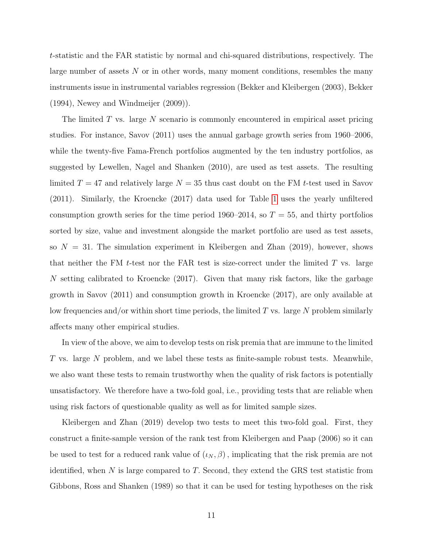t-statistic and the FAR statistic by normal and chi-squared distributions, respectively. The large number of assets N or in other words, many moment conditions, resembles the many instruments issue in instrumental variables regression (Bekker and Kleibergen (2003), Bekker (1994), Newey and Windmeijer (2009)).

The limited  $T$  vs. large  $N$  scenario is commonly encountered in empirical asset pricing studies. For instance, Savov (2011) uses the annual garbage growth series from 1960–2006, while the twenty-five Fama-French portfolios augmented by the ten industry portfolios, as suggested by Lewellen, Nagel and Shanken (2010), are used as test assets. The resulting limited  $T = 47$  and relatively large  $N = 35$  thus cast doubt on the FM t-test used in Savov (2011). Similarly, the Kroencke (2017) data used for Table [1](#page-7-0) uses the yearly unfiltered consumption growth series for the time period 1960–2014, so  $T = 55$ , and thirty portfolios sorted by size, value and investment alongside the market portfolio are used as test assets, so  $N = 31$ . The simulation experiment in Kleibergen and Zhan (2019), however, shows that neither the FM t-test nor the FAR test is size-correct under the limited  $T$  vs. large N setting calibrated to Kroencke (2017). Given that many risk factors, like the garbage growth in Savov (2011) and consumption growth in Kroencke (2017), are only available at low frequencies and/or within short time periods, the limited  $T$  vs. large  $N$  problem similarly affects many other empirical studies.

In view of the above, we aim to develop tests on risk premia that are immune to the limited T vs. large N problem, and we label these tests as finite-sample robust tests. Meanwhile, we also want these tests to remain trustworthy when the quality of risk factors is potentially unsatisfactory. We therefore have a two-fold goal, i.e., providing tests that are reliable when using risk factors of questionable quality as well as for limited sample sizes.

Kleibergen and Zhan (2019) develop two tests to meet this two-fold goal. First, they construct a finite-sample version of the rank test from Kleibergen and Paap (2006) so it can be used to test for a reduced rank value of  $(\iota_N, \beta)$ , implicating that the risk premia are not identified, when  $N$  is large compared to  $T$ . Second, they extend the GRS test statistic from Gibbons, Ross and Shanken (1989) so that it can be used for testing hypotheses on the risk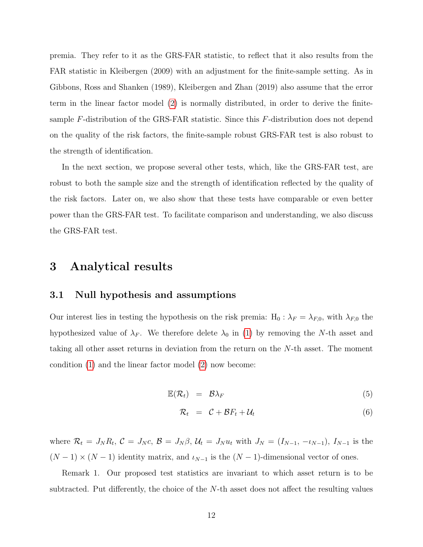premia. They refer to it as the GRS-FAR statistic, to reflect that it also results from the FAR statistic in Kleibergen (2009) with an adjustment for the finite-sample setting. As in Gibbons, Ross and Shanken (1989), Kleibergen and Zhan (2019) also assume that the error term in the linear factor model [\(2\)](#page-4-2) is normally distributed, in order to derive the finitesample F-distribution of the GRS-FAR statistic. Since this F-distribution does not depend on the quality of the risk factors, the finite-sample robust GRS-FAR test is also robust to the strength of identification.

In the next section, we propose several other tests, which, like the GRS-FAR test, are robust to both the sample size and the strength of identification reflected by the quality of the risk factors. Later on, we also show that these tests have comparable or even better power than the GRS-FAR test. To facilitate comparison and understanding, we also discuss the GRS-FAR test.

## <span id="page-11-0"></span>3 Analytical results

#### 3.1 Null hypothesis and assumptions

Our interest lies in testing the hypothesis on the risk premia:  $H_0$ :  $\lambda_F = \lambda_{F,0}$ , with  $\lambda_{F,0}$  the hypothesized value of  $\lambda_F$ . We therefore delete  $\lambda_0$  in [\(1\)](#page-4-1) by removing the N-th asset and taking all other asset returns in deviation from the return on the N-th asset. The moment condition [\(1\)](#page-4-1) and the linear factor model [\(2\)](#page-4-2) now become:

<span id="page-11-1"></span>
$$
\mathbb{E}(\mathcal{R}_t) = \mathcal{B}\lambda_F \tag{5}
$$

$$
\mathcal{R}_t = \mathcal{C} + \mathcal{B}F_t + \mathcal{U}_t \tag{6}
$$

where  $\mathcal{R}_t = J_N R_t$ ,  $\mathcal{C} = J_N c$ ,  $\mathcal{B} = J_N \beta$ ,  $\mathcal{U}_t = J_N u_t$  with  $J_N = (I_{N-1}, -\iota_{N-1})$ ,  $I_{N-1}$  is the  $(N-1) \times (N-1)$  identity matrix, and  $\iota_{N-1}$  is the  $(N-1)$ -dimensional vector of ones.

Remark 1. Our proposed test statistics are invariant to which asset return is to be subtracted. Put differently, the choice of the N-th asset does not affect the resulting values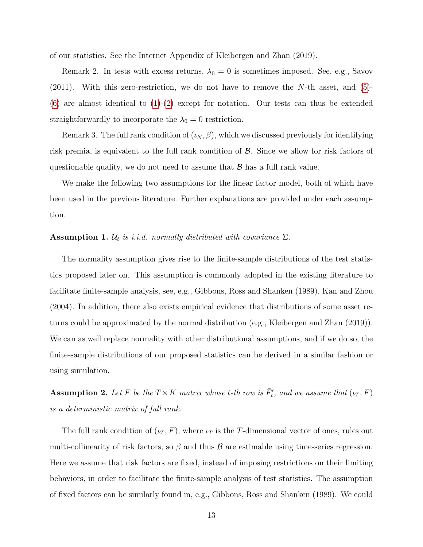of our statistics. See the Internet Appendix of Kleibergen and Zhan (2019).

Remark 2. In tests with excess returns,  $\lambda_0 = 0$  is sometimes imposed. See, e.g., Savov  $(2011)$ . With this zero-restriction, we do not have to remove the N-th asset, and  $(5)$ - $(6)$  are almost identical to  $(1)-(2)$  $(1)-(2)$  $(1)-(2)$  except for notation. Our tests can thus be extended straightforwardly to incorporate the  $\lambda_0 = 0$  restriction.

Remark 3. The full rank condition of  $(\iota_N, \beta)$ , which we discussed previously for identifying risk premia, is equivalent to the full rank condition of  $\beta$ . Since we allow for risk factors of questionable quality, we do not need to assume that  $\beta$  has a full rank value.

We make the following two assumptions for the linear factor model, both of which have been used in the previous literature. Further explanations are provided under each assumption.

### <span id="page-12-0"></span>**Assumption 1.**  $\mathcal{U}_t$  is i.i.d. normally distributed with covariance  $\Sigma$ .

The normality assumption gives rise to the finite-sample distributions of the test statistics proposed later on. This assumption is commonly adopted in the existing literature to facilitate finite-sample analysis, see, e.g., Gibbons, Ross and Shanken (1989), Kan and Zhou (2004). In addition, there also exists empirical evidence that distributions of some asset returns could be approximated by the normal distribution (e.g., Kleibergen and Zhan (2019)). We can as well replace normality with other distributional assumptions, and if we do so, the finite-sample distributions of our proposed statistics can be derived in a similar fashion or using simulation.

<span id="page-12-1"></span>**Assumption 2.** Let F be the  $T \times K$  matrix whose t-th row is  $\overline{F}_t'$ , and we assume that  $(\iota_T, F)$ is a deterministic matrix of full rank.

The full rank condition of  $(\iota_T, F)$ , where  $\iota_T$  is the T-dimensional vector of ones, rules out multi-collinearity of risk factors, so  $\beta$  and thus  $\beta$  are estimable using time-series regression. Here we assume that risk factors are fixed, instead of imposing restrictions on their limiting behaviors, in order to facilitate the finite-sample analysis of test statistics. The assumption of fixed factors can be similarly found in, e.g., Gibbons, Ross and Shanken (1989). We could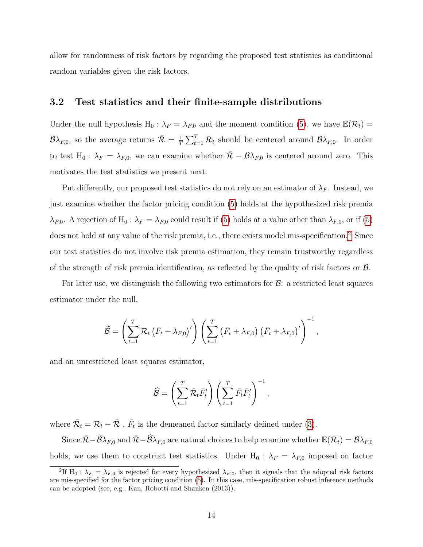allow for randomness of risk factors by regarding the proposed test statistics as conditional random variables given the risk factors.

### 3.2 Test statistics and their finite-sample distributions

Under the null hypothesis  $H_0 : \lambda_F = \lambda_{F,0}$  and the moment condition [\(5\)](#page-11-1), we have  $\mathbb{E}(\mathcal{R}_t)$  =  $\mathcal{B}\lambda_{F,0}$ , so the average returns  $\bar{\mathcal{R}} = \frac{1}{T}$  $\frac{1}{T} \sum_{t=1}^{T} \mathcal{R}_t$  should be centered around  $\mathcal{B} \lambda_{F,0}$ . In order to test H<sub>0</sub> :  $\lambda_F = \lambda_{F,0}$ , we can examine whether  $\overline{\mathcal{R}} - \mathcal{B}\lambda_{F,0}$  is centered around zero. This motivates the test statistics we present next.

Put differently, our proposed test statistics do not rely on an estimator of  $\lambda_F$ . Instead, we just examine whether the factor pricing condition [\(5\)](#page-11-1) holds at the hypothesized risk premia  $\lambda_{F,0}$ . A rejection of H<sub>0</sub> :  $\lambda_F = \lambda_{F,0}$  could result if [\(5\)](#page-11-1) holds at a value other than  $\lambda_{F,0}$ , or if (5) does not hold at any value of the risk premia, i.e., there exists model mis-specification.<sup>[2](#page-13-0)</sup> Since our test statistics do not involve risk premia estimation, they remain trustworthy regardless of the strength of risk premia identification, as reflected by the quality of risk factors or B.

For later use, we distinguish the following two estimators for  $\mathcal{B}$ : a restricted least squares estimator under the null,

$$
\widetilde{\mathcal{B}} = \left(\sum_{t=1}^T \mathcal{R}_t \left(\bar{F}_t + \lambda_{F,0}\right)'\right) \left(\sum_{t=1}^T \left(\bar{F}_t + \lambda_{F,0}\right) \left(\bar{F}_t + \lambda_{F,0}\right)'\right)^{-1},
$$

and an unrestricted least squares estimator,

$$
\widehat{\mathcal{B}} = \left(\sum_{t=1}^T \overline{\mathcal{R}}_t \overline{F'_t} \right) \left(\sum_{t=1}^T \overline{F}_t \overline{F'_t} \right)^{-1},
$$

where  $\bar{\mathcal{R}}_t = \mathcal{R}_t - \bar{\mathcal{R}}$ ,  $\bar{F}_t$  is the demeaned factor similarly defined under [\(3\)](#page-5-0).

Since  $\bar{\mathcal{R}} - \widetilde{\mathcal{B}}\lambda_{F,0}$  and  $\bar{\mathcal{R}} - \widehat{\mathcal{B}}\lambda_{F,0}$  are natural choices to help examine whether  $\mathbb{E}(\mathcal{R}_t) = \mathcal{B}\lambda_{F,0}$ holds, we use them to construct test statistics. Under  $H_0$  :  $\lambda_F = \lambda_{F,0}$  imposed on factor

<span id="page-13-0"></span><sup>&</sup>lt;sup>2</sup>If H<sub>0</sub> :  $\lambda_F = \lambda_{F,0}$  is rejected for every hypothesized  $\lambda_{F,0}$ , then it signals that the adopted risk factors are mis-specified for the factor pricing condition [\(5\)](#page-11-1). In this case, mis-specification robust inference methods can be adopted (see, e.g., Kan, Robotti and Shanken (2013)).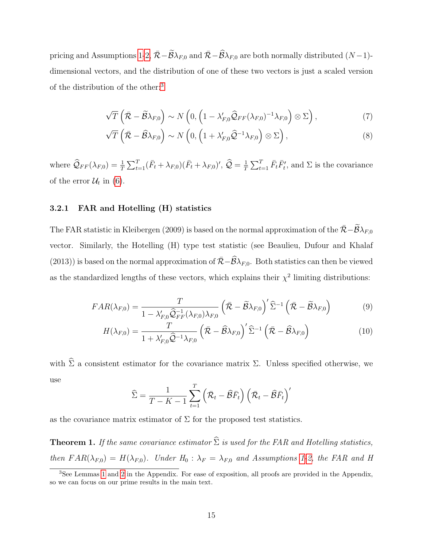pricing and Assumptions [1](#page-12-0)[-2,](#page-12-1)  $\bar{\mathcal{R}} - \tilde{\mathcal{B}} \lambda_{F,0}$  and  $\bar{\mathcal{R}} - \hat{\mathcal{B}} \lambda_{F,0}$  are both normally distributed  $(N-1)$ dimensional vectors, and the distribution of one of these two vectors is just a scaled version of the distribution of the other:[3](#page-14-0)

$$
\sqrt{T}\left(\bar{\mathcal{R}} - \widetilde{\mathcal{B}}\lambda_{F,0}\right) \sim N\left(0, \left(1 - \lambda'_{F,0}\widehat{\mathcal{Q}}_{FF}(\lambda_{F,0})^{-1}\lambda_{F,0}\right) \otimes \Sigma\right),\tag{7}
$$

$$
\sqrt{T}\left(\bar{\mathcal{R}} - \widehat{\mathcal{B}}\lambda_{F,0}\right) \sim N\left(0, \left(1 + \lambda'_{F,0}\widehat{\mathcal{Q}}^{-1}\lambda_{F,0}\right) \otimes \Sigma\right),\tag{8}
$$

where  $\hat{Q}_{FF}(\lambda_{F,0}) = \frac{1}{T} \sum_{t=1}^{T} (\bar{F}_t + \lambda_{F,0}) (\bar{F}_t + \lambda_{F,0})'$ ,  $\hat{Q} = \frac{1}{T}$  $\frac{1}{T} \sum_{t=1}^{T} \bar{F}_t \bar{F}'_t$ , and  $\Sigma$  is the covariance of the error  $\mathcal{U}_t$  in [\(6\)](#page-11-1).

#### 3.2.1 FAR and Hotelling (H) statistics

The FAR statistic in Kleibergen (2009) is based on the normal approximation of the  $\bar{\mathcal{R}}-\widetilde{\mathcal{B}}\lambda_{F,0}$ vector. Similarly, the Hotelling (H) type test statistic (see Beaulieu, Dufour and Khalaf (2013)) is based on the normal approximation of  $\bar{\mathcal{R}}-\widehat{\mathcal{B}}\lambda_{F,0}$ . Both statistics can then be viewed as the standardized lengths of these vectors, which explains their  $\chi^2$  limiting distributions:

$$
FAR(\lambda_{F,0}) = \frac{T}{1 - \lambda'_{F,0} \widehat{Q}_{FF}^{-1}(\lambda_{F,0}) \lambda_{F,0}} \left(\bar{\mathcal{R}} - \widetilde{\mathcal{B}} \lambda_{F,0}\right)' \widehat{\Sigma}^{-1} \left(\bar{\mathcal{R}} - \widetilde{\mathcal{B}} \lambda_{F,0}\right)
$$
(9)

$$
H(\lambda_{F,0}) = \frac{T}{1 + \lambda'_{F,0} \hat{Q}^{-1} \lambda_{F,0}} \left( \bar{\mathcal{R}} - \widehat{\mathcal{B}} \lambda_{F,0} \right)' \widehat{\Sigma}^{-1} \left( \bar{\mathcal{R}} - \widehat{\mathcal{B}} \lambda_{F,0} \right)
$$
(10)

with  $\hat{\Sigma}$  a consistent estimator for the covariance matrix  $\Sigma$ . Unless specified otherwise, we use

$$
\widehat{\Sigma} = \frac{1}{T - K - 1} \sum_{t=1}^{T} \left( \bar{\mathcal{R}}_t - \widehat{\mathcal{B}} \bar{F}_t \right) \left( \bar{\mathcal{R}}_t - \widehat{\mathcal{B}} \bar{F}_t \right)'
$$

as the covariance matrix estimator of  $\Sigma$  for the proposed test statistics.

<span id="page-14-1"></span>**Theorem 1.** If the same covariance estimator  $\widehat{\Sigma}$  is used for the FAR and Hotelling statistics, then  $FAR(\lambda_{F,0}) = H(\lambda_{F,0})$ . Under  $H_0 : \lambda_F = \lambda_{F,0}$  and Assumptions [1-](#page-12-0)[2,](#page-12-1) the FAR and H

<span id="page-14-0"></span><sup>3</sup>See Lemmas [1](#page-14-1) and [2](#page-15-0) in the Appendix. For ease of exposition, all proofs are provided in the Appendix, so we can focus on our prime results in the main text.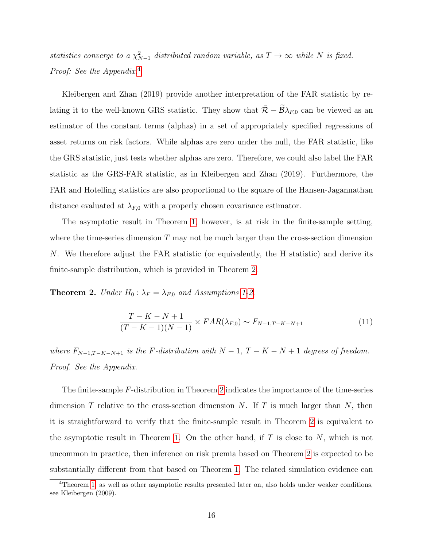statistics converge to a  $\chi^2_{N-1}$  distributed random variable, as  $T \to \infty$  while N is fixed. Proof: See the Appendix.<sup>[4](#page-15-1)</sup>

Kleibergen and Zhan (2019) provide another interpretation of the FAR statistic by relating it to the well-known GRS statistic. They show that  $\bar{\mathcal{R}} - \widetilde{\mathcal{B}}\lambda_{F,0}$  can be viewed as an estimator of the constant terms (alphas) in a set of appropriately specified regressions of asset returns on risk factors. While alphas are zero under the null, the FAR statistic, like the GRS statistic, just tests whether alphas are zero. Therefore, we could also label the FAR statistic as the GRS-FAR statistic, as in Kleibergen and Zhan (2019). Furthermore, the FAR and Hotelling statistics are also proportional to the square of the Hansen-Jagannathan distance evaluated at  $\lambda_{F,0}$  with a properly chosen covariance estimator.

The asymptotic result in Theorem [1,](#page-14-1) however, is at risk in the finite-sample setting, where the time-series dimension  $T$  may not be much larger than the cross-section dimension N. We therefore adjust the FAR statistic (or equivalently, the H statistic) and derive its finite-sample distribution, which is provided in Theorem [2.](#page-15-0)

<span id="page-15-0"></span>**Theorem 2.** Under  $H_0: \lambda_F = \lambda_{F,0}$  and Assumptions [1-](#page-12-0)[2,](#page-12-1)

$$
\frac{T - K - N + 1}{(T - K - 1)(N - 1)} \times FAR(\lambda_{F,0}) \sim F_{N-1,T-K-N+1}
$$
\n(11)

where  $F_{N-1,T-K-N+1}$  is the F-distribution with  $N-1$ ,  $T-K-N+1$  degrees of freedom. Proof. See the Appendix.

The finite-sample F-distribution in Theorem [2](#page-15-0) indicates the importance of the time-series dimension T relative to the cross-section dimension N. If T is much larger than N, then it is straightforward to verify that the finite-sample result in Theorem [2](#page-15-0) is equivalent to the asymptotic result in Theorem [1.](#page-14-1) On the other hand, if  $T$  is close to  $N$ , which is not uncommon in practice, then inference on risk premia based on Theorem [2](#page-15-0) is expected to be substantially different from that based on Theorem [1.](#page-14-1) The related simulation evidence can

<span id="page-15-1"></span><sup>4</sup>Theorem [1,](#page-14-1) as well as other asymptotic results presented later on, also holds under weaker conditions, see Kleibergen (2009).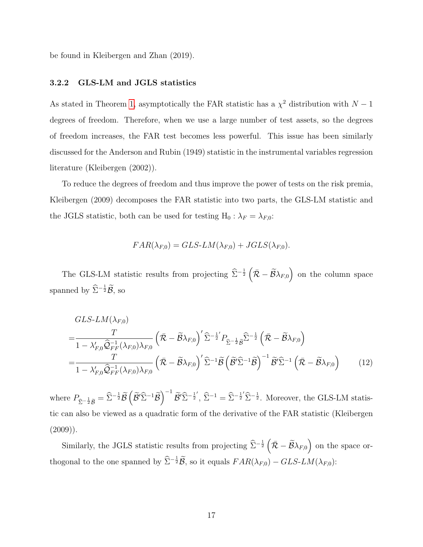be found in Kleibergen and Zhan (2019).

#### 3.2.2 GLS-LM and JGLS statistics

As stated in Theorem [1,](#page-14-1) asymptotically the FAR statistic has a  $\chi^2$  distribution with  $N-1$ degrees of freedom. Therefore, when we use a large number of test assets, so the degrees of freedom increases, the FAR test becomes less powerful. This issue has been similarly discussed for the Anderson and Rubin (1949) statistic in the instrumental variables regression literature (Kleibergen (2002)).

To reduce the degrees of freedom and thus improve the power of tests on the risk premia, Kleibergen (2009) decomposes the FAR statistic into two parts, the GLS-LM statistic and the JGLS statistic, both can be used for testing H<sub>0</sub> :  $\lambda_F = \lambda_{F,0}$ :

$$
FAR(\lambda_{F,0}) = GLS\text{-}LM(\lambda_{F,0}) + JGLS(\lambda_{F,0}).
$$

The GLS-LM statistic results from projecting  $\hat{\Sigma}^{-\frac{1}{2}}\left(\bar{\mathcal{R}}-\tilde{\mathcal{B}}\lambda_{F,0}\right)$  on the column space spanned by  $\widehat{\Sigma}^{-\frac{1}{2}}\widetilde{\mathcal{B}},$  so

$$
GLS-LM(\lambda_{F,0})
$$
\n
$$
=\frac{T}{1-\lambda'_{F,0}\widehat{Q}_{FF}^{-1}(\lambda_{F,0})\lambda_{F,0}}\left(\bar{\mathcal{R}}-\widetilde{\mathcal{B}}\lambda_{F,0}\right)^{\prime}\widehat{\Sigma}^{-\frac{1}{2}'}P_{\widehat{\Sigma}^{-\frac{1}{2}}\widehat{\mathcal{B}}}\widehat{\Sigma}^{-\frac{1}{2}}\left(\bar{\mathcal{R}}-\widetilde{\mathcal{B}}\lambda_{F,0}\right)
$$
\n
$$
=\frac{T}{1-\lambda'_{F,0}\widehat{Q}_{FF}^{-1}(\lambda_{F,0})\lambda_{F,0}}\left(\bar{\mathcal{R}}-\widetilde{\mathcal{B}}\lambda_{F,0}\right)^{\prime}\widehat{\Sigma}^{-1}\widetilde{\mathcal{B}}\left(\widetilde{\mathcal{B}}'\widehat{\Sigma}^{-1}\widehat{\mathcal{B}}\right)^{-1}\widetilde{\mathcal{B}}'\widehat{\Sigma}^{-1}\left(\bar{\mathcal{R}}-\widetilde{\mathcal{B}}\lambda_{F,0}\right) \tag{12}
$$

where  $P_{\hat{\Sigma}^{-\frac{1}{2}}\tilde{\mathcal{B}}} = \hat{\Sigma}^{-\frac{1}{2}}\tilde{\mathcal{B}}\left(\tilde{\mathcal{B}}'\hat{\Sigma}^{-1}\tilde{\mathcal{B}}\right)^{-1}\tilde{\mathcal{B}}'\hat{\Sigma}^{-\frac{1}{2}}, \hat{\Sigma}^{-1} = \hat{\Sigma}^{-\frac{1}{2}}\hat{\Sigma}^{-\frac{1}{2}}.$  Moreover, the GLS-LM statistic can also be viewed as a quadratic form of the derivative of the FAR statistic (Kleibergen  $(2009)$ ).

Similarly, the JGLS statistic results from projecting  $\hat{\Sigma}^{-\frac{1}{2}}\left(\bar{\mathcal{R}}-\widetilde{\mathcal{B}}\lambda_{F,0}\right)$  on the space orthogonal to the one spanned by  $\widehat{\Sigma}^{-\frac{1}{2}}\widetilde{\mathcal{B}}$ , so it equals  $FAR(\lambda_{F,0}) - GLS\text{-}LM(\lambda_{F,0})$ :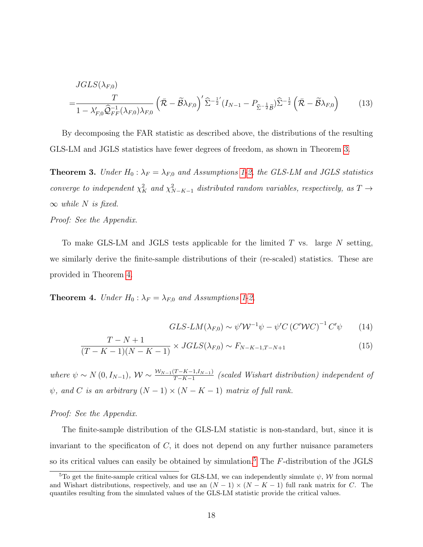$$
JGLS(\lambda_{F,0})
$$
\n
$$
=\frac{T}{1-\lambda'_{F,0}\widehat{Q}_{FF}^{-1}(\lambda_{F,0})\lambda_{F,0}}\left(\bar{\mathcal{R}}-\widetilde{\mathcal{B}}\lambda_{F,0}\right)^{\prime}\widehat{\Sigma}^{-\frac{1}{2}'}(I_{N-1}-P_{\widehat{\Sigma}^{-\frac{1}{2}}\widetilde{\mathcal{B}}})\widehat{\Sigma}^{-\frac{1}{2}}\left(\bar{\mathcal{R}}-\widetilde{\mathcal{B}}\lambda_{F,0}\right) (13)
$$

By decomposing the FAR statistic as described above, the distributions of the resulting GLS-LM and JGLS statistics have fewer degrees of freedom, as shown in Theorem [3.](#page-17-0)

<span id="page-17-0"></span>**Theorem 3.** Under  $H_0: \lambda_F = \lambda_{F,0}$  and Assumptions [1](#page-12-0)[-2,](#page-12-1) the GLS-LM and JGLS statistics converge to independent  $\chi^2_K$  and  $\chi^2_{N-K-1}$  distributed random variables, respectively, as  $T \to$  $\infty$  while N is fixed.

Proof: See the Appendix.

=

To make GLS-LM and JGLS tests applicable for the limited  $T$  vs. large  $N$  setting, we similarly derive the finite-sample distributions of their (re-scaled) statistics. These are provided in Theorem [4.](#page-17-1)

<span id="page-17-1"></span>**Theorem 4.** Under  $H_0$ :  $\lambda_F = \lambda_{F,0}$  and Assumptions [1-](#page-12-0)[2,](#page-12-1)

$$
GLS\text{-}LM(\lambda_{F,0}) \sim \psi' \mathcal{W}^{-1} \psi - \psi' C \left( C' \mathcal{W} C \right)^{-1} C' \psi \tag{14}
$$

$$
\frac{T - N + 1}{(T - K - 1)(N - K - 1)} \times JGLS(\lambda_{F,0}) \sim F_{N - K - 1, T - N + 1}
$$
\n(15)

where  $\psi \sim N(0, I_{N-1}), W \sim \frac{W_{N-1}(T-K-1,I_{N-1})}{T-K-1}$  (scaled Wishart distribution) independent of  $\psi$ , and C is an arbitrary  $(N-1) \times (N - K - 1)$  matrix of full rank.

Proof: See the Appendix.

The finite-sample distribution of the GLS-LM statistic is non-standard, but, since it is invariant to the specificaton of  $C$ , it does not depend on any further nuisance parameters so its critical values can easily be obtained by simulation.<sup>[5](#page-17-2)</sup> The  $F$ -distribution of the JGLS

<span id="page-17-2"></span><sup>&</sup>lt;sup>5</sup>To get the finite-sample critical values for GLS-LM, we can independently simulate  $\psi$ , W from normal and Wishart distributions, respectively, and use an  $(N-1) \times (N - K - 1)$  full rank matrix for C. The quantiles resulting from the simulated values of the GLS-LM statistic provide the critical values.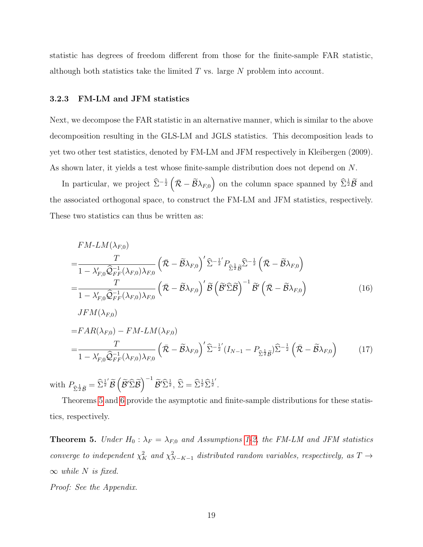statistic has degrees of freedom different from those for the finite-sample FAR statistic, although both statistics take the limited  $T$  vs. large  $N$  problem into account.

#### 3.2.3 FM-LM and JFM statistics

Next, we decompose the FAR statistic in an alternative manner, which is similar to the above decomposition resulting in the GLS-LM and JGLS statistics. This decomposition leads to yet two other test statistics, denoted by FM-LM and JFM respectively in Kleibergen (2009). As shown later, it yields a test whose finite-sample distribution does not depend on N.

In particular, we project  $\hat{\Sigma}^{-\frac{1}{2}}(\bar{\mathcal{R}}-\tilde{\mathcal{B}}\lambda_{F,0})$  on the column space spanned by  $\hat{\Sigma}^{\frac{1}{2}}\tilde{\mathcal{B}}$  and the associated orthogonal space, to construct the FM-LM and JFM statistics, respectively. These two statistics can thus be written as:

$$
FM-LM(\lambda_{F,0})
$$
\n
$$
=\frac{T}{1-\lambda'_{F,0}\widehat{Q}_{FF}^{-1}(\lambda_{F,0})\lambda_{F,0}} \left(\bar{\mathcal{R}}-\widetilde{\mathcal{B}}\lambda_{F,0}\right)' \widehat{\Sigma}^{-\frac{1}{2}} P_{\widehat{\Sigma}^{\frac{1}{2}}\widetilde{\mathcal{B}}}\widehat{\Sigma}^{-\frac{1}{2}} \left(\bar{\mathcal{R}}-\widetilde{\mathcal{B}}\lambda_{F,0}\right)
$$
\n
$$
=\frac{T}{1-\lambda'_{F,0}\widehat{Q}_{FF}^{-1}(\lambda_{F,0})\lambda_{F,0}} \left(\bar{\mathcal{R}}-\widetilde{\mathcal{B}}\lambda_{F,0}\right)' \widetilde{\mathcal{B}} \left(\widetilde{\mathcal{B}}'\widehat{\Sigma}\widetilde{\mathcal{B}}\right)^{-1} \widetilde{\mathcal{B}}' \left(\bar{\mathcal{R}}-\widetilde{\mathcal{B}}\lambda_{F,0}\right)
$$
\n
$$
JFM(\lambda_{F,0})
$$
\n
$$
=FAR(\lambda_{F,0}) - FM-LM(\lambda_{F,0})
$$
\n
$$
=\frac{T}{1-\lambda'_{F,0}\widehat{Q}_{FF}^{-1}(\lambda_{F,0})\lambda_{F,0}} \left(\bar{\mathcal{R}}-\widetilde{\mathcal{B}}\lambda_{F,0}\right)' \widehat{\Sigma}^{-\frac{1}{2}} (I_{N-1}-P_{\widehat{\Sigma}^{\frac{1}{2}}\widetilde{\mathcal{B}}}) \widehat{\Sigma}^{-\frac{1}{2}} \left(\bar{\mathcal{R}}-\widetilde{\mathcal{B}}\lambda_{F,0}\right) \tag{17}
$$

with  $P$  $\mathcal{B}_{\widehat{\Sigma}^{\frac{1}{2}}\widetilde{\mathcal{B}}}=\widehat{\Sigma}^{\frac{1}{2}'}\widetilde{\mathcal{B}}\left(\widetilde{\mathcal{B}}'\widehat{\Sigma}\widetilde{\mathcal{B}}\right)^{-1}\widetilde{\mathcal{B}}'\widehat{\Sigma}^{\frac{1}{2}},\,\widehat{\Sigma}=\widehat{\Sigma}^{\frac{1}{2}}\widehat{\Sigma}^{\frac{1}{2}'}.\nonumber$ 

Theorems [5](#page-18-0) and [6](#page-19-0) provide the asymptotic and finite-sample distributions for these statistics, respectively.

<span id="page-18-0"></span>**Theorem 5.** Under  $H_0: \lambda_F = \lambda_{F,0}$  and Assumptions [1-](#page-12-0)[2,](#page-12-1) the FM-LM and JFM statistics converge to independent  $\chi^2_K$  and  $\chi^2_{N-K-1}$  distributed random variables, respectively, as  $T \to$  $\infty$  while N is fixed.

Proof: See the Appendix.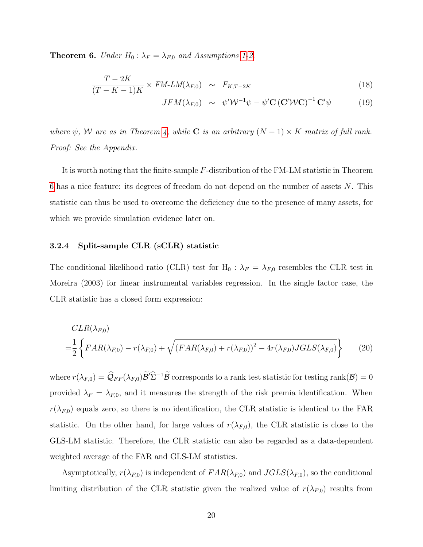<span id="page-19-0"></span>**Theorem 6.** Under  $H_0: \lambda_F = \lambda_{F,0}$  and Assumptions [1-](#page-12-0)[2,](#page-12-1)

$$
\frac{T - 2K}{(T - K - 1)K} \times FM \cdot LM(\lambda_{F,0}) \sim F_{K,T-2K}
$$
\n(18)

$$
JFM(\lambda_{F,0}) \sim \psi' \mathcal{W}^{-1} \psi - \psi' \mathbf{C} (\mathbf{C}' \mathcal{W} \mathbf{C})^{-1} \mathbf{C}' \psi
$$
 (19)

where  $\psi$ , W are as in Theorem [4,](#page-17-1) while C is an arbitrary  $(N-1) \times K$  matrix of full rank. Proof: See the Appendix.

It is worth noting that the finite-sample F-distribution of the FM-LM statistic in Theorem [6](#page-19-0) has a nice feature: its degrees of freedom do not depend on the number of assets  $N$ . This statistic can thus be used to overcome the deficiency due to the presence of many assets, for which we provide simulation evidence later on.

#### 3.2.4 Split-sample CLR (sCLR) statistic

The conditional likelihood ratio (CLR) test for H<sub>0</sub> :  $\lambda_F = \lambda_{F,0}$  resembles the CLR test in Moreira (2003) for linear instrumental variables regression. In the single factor case, the CLR statistic has a closed form expression:

$$
CLR(\lambda_{F,0})
$$
  
= $\frac{1}{2}$  { $FAR(\lambda_{F,0}) - r(\lambda_{F,0}) + \sqrt{(FAR(\lambda_{F,0}) + r(\lambda_{F,0}))^2 - 4r(\lambda_{F,0})JGLS(\lambda_{F,0})}$  } (20)

where  $r(\lambda_{F,0}) = \widehat{Q}_{FF}(\lambda_{F,0})\widetilde{\mathcal{B}}'\widehat{\Sigma}^{-1}\widetilde{\mathcal{B}}$  corresponds to a rank test statistic for testing rank $(\mathcal{B}) = 0$ provided  $\lambda_F = \lambda_{F,0}$ , and it measures the strength of the risk premia identification. When  $r(\lambda_{F,0})$  equals zero, so there is no identification, the CLR statistic is identical to the FAR statistic. On the other hand, for large values of  $r(\lambda_{F,0})$ , the CLR statistic is close to the GLS-LM statistic. Therefore, the CLR statistic can also be regarded as a data-dependent weighted average of the FAR and GLS-LM statistics.

Asymptotically,  $r(\lambda_{F,0})$  is independent of  $FAR(\lambda_{F,0})$  and  $JGLS(\lambda_{F,0})$ , so the conditional limiting distribution of the CLR statistic given the realized value of  $r(\lambda_{F,0})$  results from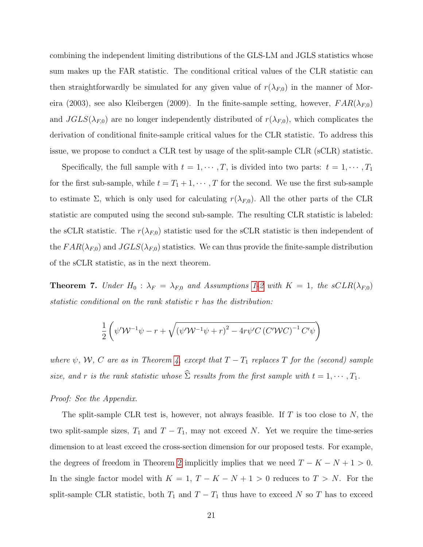combining the independent limiting distributions of the GLS-LM and JGLS statistics whose sum makes up the FAR statistic. The conditional critical values of the CLR statistic can then straightforwardly be simulated for any given value of  $r(\lambda_{F,0})$  in the manner of Moreira (2003), see also Kleibergen (2009). In the finite-sample setting, however,  $FAR(\lambda_{F,0})$ and  $JGLS(\lambda_{F,0})$  are no longer independently distributed of  $r(\lambda_{F,0})$ , which complicates the derivation of conditional finite-sample critical values for the CLR statistic. To address this issue, we propose to conduct a CLR test by usage of the split-sample CLR (sCLR) statistic.

Specifically, the full sample with  $t = 1, \dots, T$ , is divided into two parts:  $t = 1, \dots, T_1$ for the first sub-sample, while  $t = T_1 + 1, \cdots, T$  for the second. We use the first sub-sample to estimate  $\Sigma$ , which is only used for calculating  $r(\lambda_{F,0})$ . All the other parts of the CLR statistic are computed using the second sub-sample. The resulting CLR statistic is labeled: the sCLR statistic. The  $r(\lambda_{F,0})$  statistic used for the sCLR statistic is then independent of the  $FAR(\lambda_{F,0})$  and  $JGLS(\lambda_{F,0})$  statistics. We can thus provide the finite-sample distribution of the sCLR statistic, as in the next theorem.

<span id="page-20-0"></span>**Theorem 7.** Under  $H_0$ :  $\lambda_F = \lambda_{F,0}$  and Assumptions [1](#page-12-0)[-2](#page-12-1) with  $K = 1$ , the sCLR( $\lambda_{F,0}$ ) statistic conditional on the rank statistic r has the distribution:

$$
\frac{1}{2} \left( \psi' \mathcal{W}^{-1} \psi - r + \sqrt{\left(\psi' \mathcal{W}^{-1} \psi + r\right)^2 - 4r \psi' C \left(C' \mathcal{W} C\right)^{-1} C' \psi} \right)
$$

where  $\psi$ , W, C are as in Theorem [4,](#page-17-1) except that  $T - T_1$  replaces T for the (second) sample size, and r is the rank statistic whose  $\widehat{\Sigma}$  results from the first sample with  $t = 1, \cdots, T_1$ .

#### Proof: See the Appendix.

The split-sample CLR test is, however, not always feasible. If  $T$  is too close to  $N$ , the two split-sample sizes,  $T_1$  and  $T - T_1$ , may not exceed N. Yet we require the time-series dimension to at least exceed the cross-section dimension for our proposed tests. For example, the degrees of freedom in Theorem [2](#page-15-0) implicitly implies that we need  $T - K - N + 1 > 0$ . In the single factor model with  $K = 1, T - K - N + 1 > 0$  reduces to  $T > N$ . For the split-sample CLR statistic, both  $T_1$  and  $T - T_1$  thus have to exceed N so T has to exceed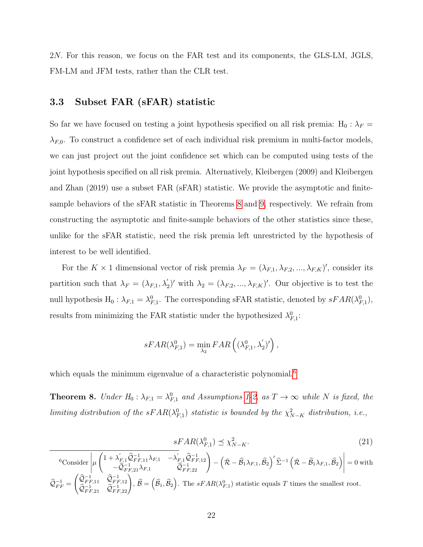2N. For this reason, we focus on the FAR test and its components, the GLS-LM, JGLS, FM-LM and JFM tests, rather than the CLR test.

### 3.3 Subset FAR (sFAR) statistic

So far we have focused on testing a joint hypothesis specified on all risk premia: H<sub>0</sub> :  $\lambda_F$  =  $\lambda_{F,0}$ . To construct a confidence set of each individual risk premium in multi-factor models, we can just project out the joint confidence set which can be computed using tests of the joint hypothesis specified on all risk premia. Alternatively, Kleibergen (2009) and Kleibergen and Zhan (2019) use a subset FAR (sFAR) statistic. We provide the asymptotic and finitesample behaviors of the sFAR statistic in Theorems [8](#page-21-0) and [9,](#page-22-1) respectively. We refrain from constructing the asymptotic and finite-sample behaviors of the other statistics since these, unlike for the sFAR statistic, need the risk premia left unrestricted by the hypothesis of interest to be well identified.

For the  $K \times 1$  dimensional vector of risk premia  $\lambda_F = (\lambda_{F,1}, \lambda_{F,2}, ..., \lambda_{F,K})'$ , consider its partition such that  $\lambda_F = (\lambda_{F,1}, \lambda_2')'$  with  $\lambda_2 = (\lambda_{F,2}, ..., \lambda_{F,K})'$ . Our objective is to test the null hypothesis  $H_0: \lambda_{F,1} = \lambda_{F,1}^0$ . The corresponding sFAR statistic, denoted by  $sFAR(\lambda_{F,1}^0)$ , results from minimizing the FAR statistic under the hypothesized  $\lambda_{F,1}^0$ :

$$
sFAR(\lambda_{F,1}^0) = \min_{\lambda_2} FAR\left((\lambda_{F,1}^0, \lambda_2')'\right),
$$

which equals the minimum eigenvalue of a characteristic polynomial.<sup>[6](#page-21-1)</sup>

<span id="page-21-0"></span>**Theorem 8.** Under  $H_0: \lambda_{F,1} = \lambda_{F,1}^0$  and Assumptions [1-](#page-12-0)[2,](#page-12-1) as  $T \to \infty$  while N is fixed, the limiting distribution of the s $FAR(\lambda_{F,1}^0)$  statistic is bounded by the  $\chi^2_{N-K}$  distribution, i.e.,

$$
sFAR(\lambda_{F,1}^0) \preceq \chi_{N-K}^2. \tag{21}
$$

<span id="page-21-1"></span>
$$
{}^{6}\text{Consider} \left| \mu \begin{pmatrix} 1 + \lambda'_{F,1} \hat{\mathcal{Q}}_{FF,11}^{-1} \lambda_{F,1} & -\lambda'_{F,1} \hat{\mathcal{Q}}_{FF,12}^{-1} \\ -\hat{\mathcal{Q}}_{FF,21}^{-1} \lambda_{F,1} & \hat{\mathcal{Q}}_{FF,22}^{-1} \end{pmatrix} - \left( \bar{\mathcal{R}} - \hat{\mathcal{B}}_{1} \lambda_{F,1}, \hat{\mathcal{B}}_{2} \right)' \hat{\Sigma}^{-1} \left( \bar{\mathcal{R}} - \hat{\mathcal{B}}_{1} \lambda_{F,1}, \hat{\mathcal{B}}_{2} \right) \right| = 0 \text{ with}
$$
  

$$
\hat{\mathcal{Q}}_{FF}^{-1} = \begin{pmatrix} \hat{\mathcal{Q}}_{FF,11}^{-1} & \hat{\mathcal{Q}}_{FF,12}^{-1} \\ \hat{\mathcal{Q}}_{FF,21}^{-1} & \hat{\mathcal{Q}}_{FF,22}^{-1} \end{pmatrix}, \ \hat{\mathcal{B}} = \left( \hat{\mathcal{B}}_{1}, \hat{\mathcal{B}}_{2} \right). \text{ The } sFAR(\lambda_{F,1}^{0}) \text{ statistic equals } T \text{ times the smallest root.}
$$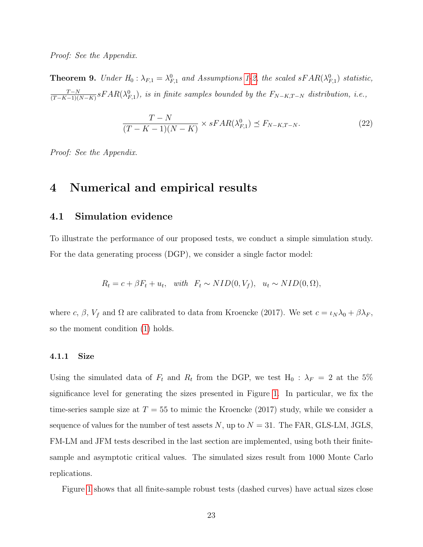Proof: See the Appendix.

<span id="page-22-1"></span>**Theorem 9.** Under  $H_0: \lambda_{F,1} = \lambda_{F,1}^0$  and Assumptions [1](#page-12-0)[-2,](#page-12-1) the scaled sFAR( $\lambda_{F,1}^0$ ) statistic,  $T - N$  $\frac{T-N}{(T-K-1)(N-K)}$ s $FAR(\lambda_{F,1}^0)$ , is in finite samples bounded by the  $F_{N-K,T-N}$  distribution, i.e.,

$$
\frac{T - N}{(T - K - 1)(N - K)} \times sFAR(\lambda_{F,1}^0) \preceq F_{N - K, T - N}.
$$
\n(22)

Proof: See the Appendix.

## <span id="page-22-0"></span>4 Numerical and empirical results

## 4.1 Simulation evidence

To illustrate the performance of our proposed tests, we conduct a simple simulation study. For the data generating process (DGP), we consider a single factor model:

$$
R_t = c + \beta F_t + u_t, \quad with \quad F_t \sim NID(0, V_f), \quad u_t \sim NID(0, \Omega),
$$

where c,  $\beta$ ,  $V_f$  and  $\Omega$  are calibrated to data from Kroencke (2017). We set  $c = \iota_N \lambda_0 + \beta \lambda_F$ , so the moment condition [\(1\)](#page-4-1) holds.

#### 4.1.1 Size

Using the simulated data of  $F_t$  and  $R_t$  from the DGP, we test  $H_0$ :  $\lambda_F = 2$  at the 5% significance level for generating the sizes presented in Figure [1.](#page-23-0) In particular, we fix the time-series sample size at  $T = 55$  to mimic the Kroencke (2017) study, while we consider a sequence of values for the number of test assets  $N$ , up to  $N = 31$ . The FAR, GLS-LM, JGLS, FM-LM and JFM tests described in the last section are implemented, using both their finitesample and asymptotic critical values. The simulated sizes result from 1000 Monte Carlo replications.

Figure [1](#page-23-0) shows that all finite-sample robust tests (dashed curves) have actual sizes close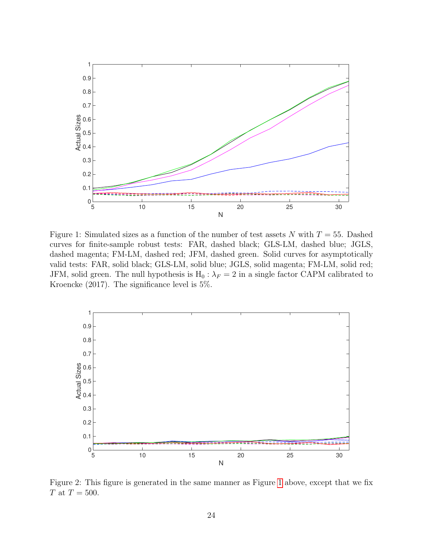

<span id="page-23-0"></span>Figure 1: Simulated sizes as a function of the number of test assets N with  $T = 55$ . Dashed curves for finite-sample robust tests: FAR, dashed black; GLS-LM, dashed blue; JGLS, dashed magenta; FM-LM, dashed red; JFM, dashed green. Solid curves for asymptotically valid tests: FAR, solid black; GLS-LM, solid blue; JGLS, solid magenta; FM-LM, solid red; JFM, solid green. The null hypothesis is  $H_0$ :  $\lambda_F = 2$  in a single factor CAPM calibrated to Kroencke (2017). The significance level is 5%.



<span id="page-23-1"></span>Figure 2: This figure is generated in the same manner as Figure [1](#page-23-0) above, except that we fix  $T$  at  $T = 500$ .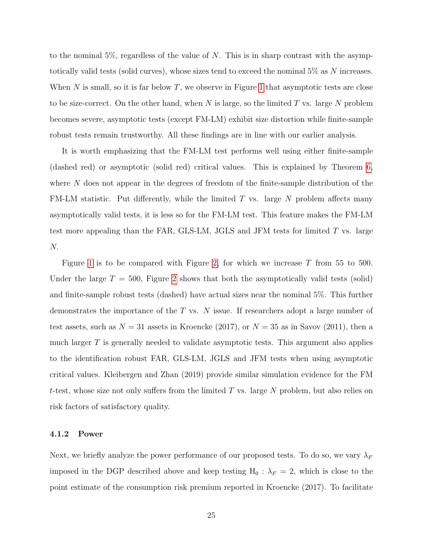to the nominal  $5\%$ , regardless of the value of N. This is in sharp contrast with the asymptotically valid tests (solid curves), whose sizes tend to exceed the nominal 5% as N increases. When  $N$  is small, so it is far below  $T$ , we observe in Figure [1](#page-23-0) that asymptotic tests are close to be size-correct. On the other hand, when N is large, so the limited T vs. large N problem becomes severe, asymptotic tests (except FM-LM) exhibit size distortion while finite-sample robust tests remain trustworthy. All these findings are in line with our earlier analysis.

It is worth emphasizing that the FM-LM test performs well using either finite-sample (dashed red) or asymptotic (solid red) critical values. This is explained by Theorem [6,](#page-19-0) where N does not appear in the degrees of freedom of the finite-sample distribution of the FM-LM statistic. Put differently, while the limited  $T$  vs. large  $N$  problem affects many asymptotically valid tests, it is less so for the FM-LM test. This feature makes the FM-LM test more appealing than the FAR, GLS-LM, JGLS and JFM tests for limited T vs. large N.

Figure [1](#page-23-0) is to be compared with Figure [2,](#page-23-1) for which we increase  $T$  from 55 to 500. Under the large  $T = 500$ , Figure [2](#page-23-1) shows that both the asymptotically valid tests (solid) and finite-sample robust tests (dashed) have actual sizes near the nominal 5%. This further demonstrates the importance of the  $T$  vs.  $N$  issue. If researchers adopt a large number of test assets, such as  $N = 31$  assets in Kroencke (2017), or  $N = 35$  as in Savov (2011), then a much larger T is generally needed to validate asymptotic tests. This argument also applies to the identification robust FAR, GLS-LM, JGLS and JFM tests when using asymptotic critical values. Kleibergen and Zhan (2019) provide similar simulation evidence for the FM t-test, whose size not only suffers from the limited  $T$  vs. large  $N$  problem, but also relies on risk factors of satisfactory quality.

#### 4.1.2 Power

Next, we briefly analyze the power performance of our proposed tests. To do so, we vary  $\lambda_F$ imposed in the DGP described above and keep testing  $H_0$ :  $\lambda_F = 2$ , which is close to the point estimate of the consumption risk premium reported in Kroencke (2017). To facilitate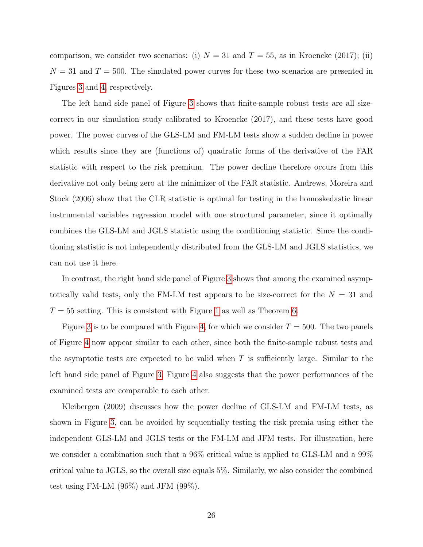comparison, we consider two scenarios: (i)  $N = 31$  and  $T = 55$ , as in Kroencke (2017); (ii)  $N = 31$  and  $T = 500$ . The simulated power curves for these two scenarios are presented in Figures [3](#page-26-0) and [4,](#page-26-1) respectively.

The left hand side panel of Figure [3](#page-26-0) shows that finite-sample robust tests are all sizecorrect in our simulation study calibrated to Kroencke (2017), and these tests have good power. The power curves of the GLS-LM and FM-LM tests show a sudden decline in power which results since they are (functions of) quadratic forms of the derivative of the FAR statistic with respect to the risk premium. The power decline therefore occurs from this derivative not only being zero at the minimizer of the FAR statistic. Andrews, Moreira and Stock (2006) show that the CLR statistic is optimal for testing in the homoskedastic linear instrumental variables regression model with one structural parameter, since it optimally combines the GLS-LM and JGLS statistic using the conditioning statistic. Since the conditioning statistic is not independently distributed from the GLS-LM and JGLS statistics, we can not use it here.

In contrast, the right hand side panel of Figure [3](#page-26-0) shows that among the examined asymptotically valid tests, only the FM-LM test appears to be size-correct for the  $N = 31$  and  $T = 55$  setting. This is consistent with Figure [1](#page-23-0) as well as Theorem [6.](#page-19-0)

Figure [3](#page-26-0) is to be compared with Figure [4,](#page-26-1) for which we consider  $T = 500$ . The two panels of Figure [4](#page-26-1) now appear similar to each other, since both the finite-sample robust tests and the asymptotic tests are expected to be valid when  $T$  is sufficiently large. Similar to the left hand side panel of Figure [3,](#page-26-0) Figure [4](#page-26-1) also suggests that the power performances of the examined tests are comparable to each other.

Kleibergen (2009) discusses how the power decline of GLS-LM and FM-LM tests, as shown in Figure [3,](#page-26-0) can be avoided by sequentially testing the risk premia using either the independent GLS-LM and JGLS tests or the FM-LM and JFM tests. For illustration, here we consider a combination such that a 96% critical value is applied to GLS-LM and a 99% critical value to JGLS, so the overall size equals 5%. Similarly, we also consider the combined test using FM-LM (96%) and JFM (99%).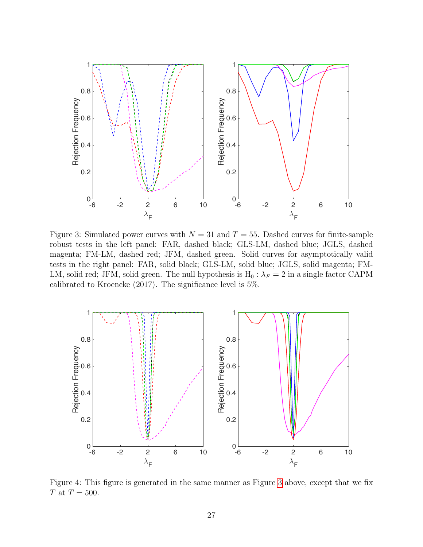

<span id="page-26-0"></span>Figure 3: Simulated power curves with  $N = 31$  and  $T = 55$ . Dashed curves for finite-sample robust tests in the left panel: FAR, dashed black; GLS-LM, dashed blue; JGLS, dashed magenta; FM-LM, dashed red; JFM, dashed green. Solid curves for asymptotically valid tests in the right panel: FAR, solid black; GLS-LM, solid blue; JGLS, solid magenta; FM-LM, solid red; JFM, solid green. The null hypothesis is  $H_0$ :  $\lambda_F = 2$  in a single factor CAPM calibrated to Kroencke (2017). The significance level is 5%.



<span id="page-26-1"></span>Figure 4: This figure is generated in the same manner as Figure [3](#page-26-0) above, except that we fix  $T \text{ at } T = 500.$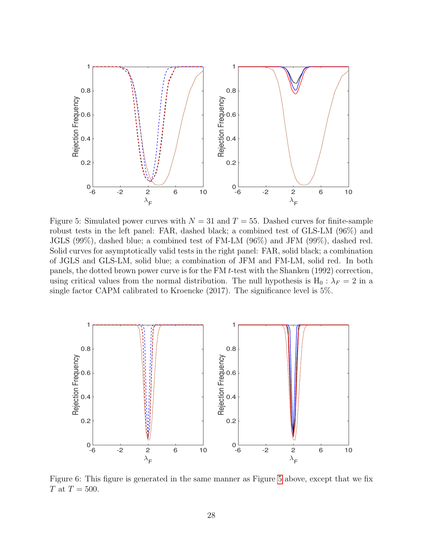

<span id="page-27-0"></span>Figure 5: Simulated power curves with  $N = 31$  and  $T = 55$ . Dashed curves for finite-sample robust tests in the left panel: FAR, dashed black; a combined test of GLS-LM (96%) and JGLS (99%), dashed blue; a combined test of FM-LM (96%) and JFM (99%), dashed red. Solid curves for asymptotically valid tests in the right panel: FAR, solid black; a combination of JGLS and GLS-LM, solid blue; a combination of JFM and FM-LM, solid red. In both panels, the dotted brown power curve is for the FM t-test with the Shanken (1992) correction, using critical values from the normal distribution. The null hypothesis is  $H_0 : \lambda_F = 2$  in a single factor CAPM calibrated to Kroencke (2017). The significance level is 5%.



<span id="page-27-1"></span>Figure 6: This figure is generated in the same manner as Figure [5](#page-27-0) above, except that we fix T at  $T = 500$ .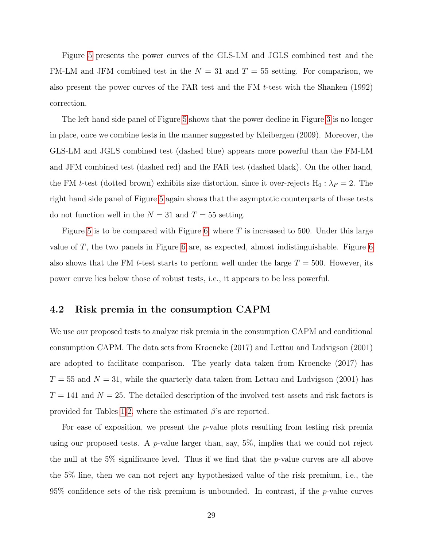Figure [5](#page-27-0) presents the power curves of the GLS-LM and JGLS combined test and the FM-LM and JFM combined test in the  $N = 31$  and  $T = 55$  setting. For comparison, we also present the power curves of the FAR test and the FM t-test with the Shanken (1992) correction.

The left hand side panel of Figure [5](#page-27-0) shows that the power decline in Figure [3](#page-26-0) is no longer in place, once we combine tests in the manner suggested by Kleibergen (2009). Moreover, the GLS-LM and JGLS combined test (dashed blue) appears more powerful than the FM-LM and JFM combined test (dashed red) and the FAR test (dashed black). On the other hand, the FM t-test (dotted brown) exhibits size distortion, since it over-rejects  $H_0: \lambda_F = 2$ . The right hand side panel of Figure [5](#page-27-0) again shows that the asymptotic counterparts of these tests do not function well in the  $N = 31$  and  $T = 55$  setting.

Figure [5](#page-27-0) is to be compared with Figure [6,](#page-27-1) where  $T$  is increased to 500. Under this large value of T, the two panels in Figure [6](#page-27-1) are, as expected, almost indistinguishable. Figure [6](#page-27-1) also shows that the FM t-test starts to perform well under the large  $T = 500$ . However, its power curve lies below those of robust tests, i.e., it appears to be less powerful.

### 4.2 Risk premia in the consumption CAPM

We use our proposed tests to analyze risk premia in the consumption CAPM and conditional consumption CAPM. The data sets from Kroencke (2017) and Lettau and Ludvigson (2001) are adopted to facilitate comparison. The yearly data taken from Kroencke (2017) has  $T = 55$  and  $N = 31$ , while the quarterly data taken from Lettau and Ludvigson (2001) has  $T = 141$  and  $N = 25$ . The detailed description of the involved test assets and risk factors is provided for Tables [1-](#page-7-0)[2,](#page-8-0) where the estimated  $\beta$ 's are reported.

For ease of exposition, we present the  $p$ -value plots resulting from testing risk premia using our proposed tests. A  $p$ -value larger than, say, 5%, implies that we could not reject the null at the 5% significance level. Thus if we find that the  $p$ -value curves are all above the 5% line, then we can not reject any hypothesized value of the risk premium, i.e., the  $95\%$  confidence sets of the risk premium is unbounded. In contrast, if the p-value curves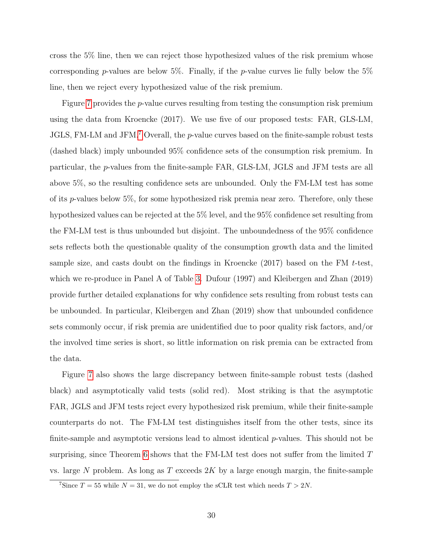cross the 5% line, then we can reject those hypothesized values of the risk premium whose corresponding p-values are below 5%. Finally, if the p-value curves lie fully below the  $5\%$ line, then we reject every hypothesized value of the risk premium.

Figure [7](#page-30-0) provides the p-value curves resulting from testing the consumption risk premium using the data from Kroencke (2017). We use five of our proposed tests: FAR, GLS-LM, JGLS, FM-LM and JFM.<sup>[7](#page-29-0)</sup> Overall, the p-value curves based on the finite-sample robust tests (dashed black) imply unbounded 95% confidence sets of the consumption risk premium. In particular, the p-values from the finite-sample FAR, GLS-LM, JGLS and JFM tests are all above 5%, so the resulting confidence sets are unbounded. Only the FM-LM test has some of its  $p$ -values below 5%, for some hypothesized risk premia near zero. Therefore, only these hypothesized values can be rejected at the 5% level, and the 95% confidence set resulting from the FM-LM test is thus unbounded but disjoint. The unboundedness of the 95% confidence sets reflects both the questionable quality of the consumption growth data and the limited sample size, and casts doubt on the findings in Kroencke  $(2017)$  based on the FM t-test, which we re-produce in Panel A of Table [3.](#page-31-0) Dufour (1997) and Kleibergen and Zhan (2019) provide further detailed explanations for why confidence sets resulting from robust tests can be unbounded. In particular, Kleibergen and Zhan (2019) show that unbounded confidence sets commonly occur, if risk premia are unidentified due to poor quality risk factors, and/or the involved time series is short, so little information on risk premia can be extracted from the data.

Figure [7](#page-30-0) also shows the large discrepancy between finite-sample robust tests (dashed black) and asymptotically valid tests (solid red). Most striking is that the asymptotic FAR, JGLS and JFM tests reject every hypothesized risk premium, while their finite-sample counterparts do not. The FM-LM test distinguishes itself from the other tests, since its finite-sample and asymptotic versions lead to almost identical  $p$ -values. This should not be surprising, since Theorem [6](#page-19-0) shows that the FM-LM test does not suffer from the limited  $T$ vs. large N problem. As long as  $T$  exceeds  $2K$  by a large enough margin, the finite-sample

<span id="page-29-0"></span><sup>&</sup>lt;sup>7</sup>Since  $T = 55$  while  $N = 31$ , we do not employ the sCLR test which needs  $T > 2N$ .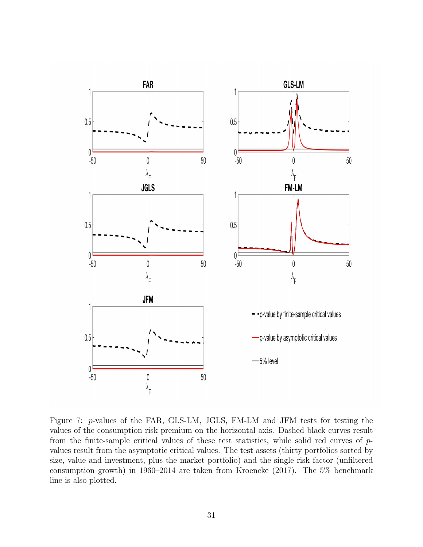

<span id="page-30-0"></span>Figure 7: p-values of the FAR, GLS-LM, JGLS, FM-LM and JFM tests for testing the values of the consumption risk premium on the horizontal axis. Dashed black curves result from the finite-sample critical values of these test statistics, while solid red curves of pvalues result from the asymptotic critical values. The test assets (thirty portfolios sorted by size, value and investment, plus the market portfolio) and the single risk factor (unfiltered consumption growth) in 1960–2014 are taken from Kroencke (2017). The 5% benchmark line is also plotted.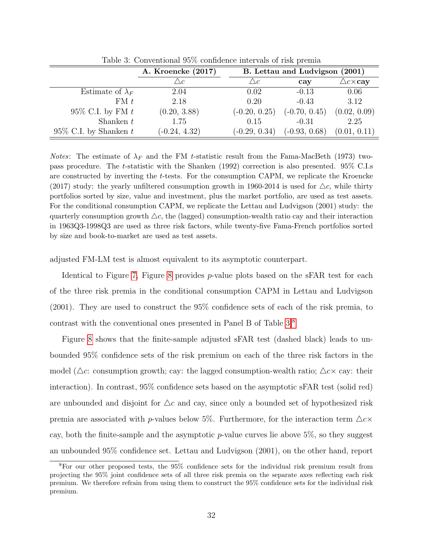|                          | A. Kroencke (2017) | B. Lettau and Ludvigson (2001) |                 |                          |  |
|--------------------------|--------------------|--------------------------------|-----------------|--------------------------|--|
|                          | $\triangle c$ .    | $\triangle c$                  | cay             | $\triangle c \times cay$ |  |
| Estimate of $\lambda_F$  | 2.04               | 0.02                           | $-0.13$         | 0.06                     |  |
| FMt                      | 2.18               | 0.20                           | $-0.43$         | 3.12                     |  |
| $95\%$ C.I. by FM t      | (0.20, 3.88)       | $(-0.20, 0.25)$                | $(-0.70, 0.45)$ | (0.02, 0.09)             |  |
| Shanken $t$              | 1.75               | 0.15                           | $-0.31$         | 2.25                     |  |
| 95\% C.I. by Shanken $t$ | $(-0.24, 4.32)$    | $(-0.29, 0.34)$                | $(-0.93, 0.68)$ | (0.01, 0.11)             |  |

<span id="page-31-0"></span>Table 3: Conventional 95% confidence intervals of risk premia

Notes: The estimate of  $\lambda_F$  and the FM t-statistic result from the Fama-MacBeth (1973) twopass procedure. The t-statistic with the Shanken (1992) correction is also presented. 95% C.I.s are constructed by inverting the t-tests. For the consumption CAPM, we replicate the Kroencke (2017) study: the yearly unfiltered consumption growth in 1960-2014 is used for  $\Delta c$ , while thirty portfolios sorted by size, value and investment, plus the market portfolio, are used as test assets. For the conditional consumption CAPM, we replicate the Lettau and Ludvigson (2001) study: the quarterly consumption growth  $\triangle c$ , the (lagged) consumption-wealth ratio cay and their interaction in 1963Q3-1998Q3 are used as three risk factors, while twenty-five Fama-French portfolios sorted by size and book-to-market are used as test assets.

adjusted FM-LM test is almost equivalent to its asymptotic counterpart.

Identical to Figure [7,](#page-30-0) Figure [8](#page-32-0) provides p-value plots based on the sFAR test for each of the three risk premia in the conditional consumption CAPM in Lettau and Ludvigson (2001). They are used to construct the 95% confidence sets of each of the risk premia, to contrast with the conventional ones presented in Panel B of Table [3.](#page-31-0)[8](#page-31-1)

Figure [8](#page-32-0) shows that the finite-sample adjusted sFAR test (dashed black) leads to unbounded 95% confidence sets of the risk premium on each of the three risk factors in the model ( $\Delta c$ : consumption growth; cay: the lagged consumption-wealth ratio;  $\Delta c \times c$  cay: their interaction). In contrast, 95% confidence sets based on the asymptotic sFAR test (solid red) are unbounded and disjoint for  $\Delta c$  and cay, since only a bounded set of hypothesized risk premia are associated with p-values below 5%. Furthermore, for the interaction term  $\Delta c \times$ cay, both the finite-sample and the asymptotic  $p$ -value curves lie above 5%, so they suggest an unbounded 95% confidence set. Lettau and Ludvigson (2001), on the other hand, report

<span id="page-31-1"></span><sup>8</sup>For our other proposed tests, the 95% confidence sets for the individual risk premium result from projecting the 95% joint confidence sets of all three risk premia on the separate axes reflecting each risk premium. We therefore refrain from using them to construct the 95% confidence sets for the individual risk premium.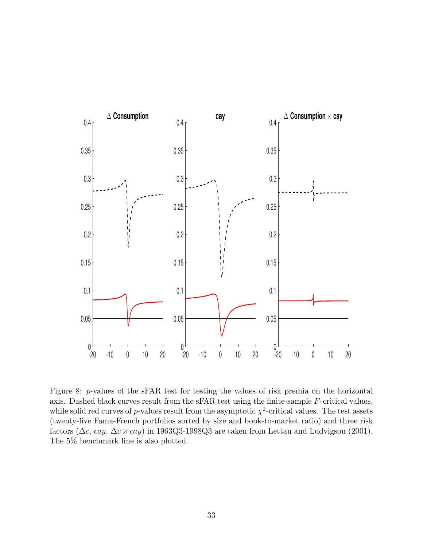

<span id="page-32-0"></span>Figure 8: p-values of the sFAR test for testing the values of risk premia on the horizontal axis. Dashed black curves result from the sFAR test using the finite-sample F-critical values, while solid red curves of p-values result from the asymptotic  $\chi^2$ -critical values. The test assets (twenty-five Fama-French portfolios sorted by size and book-to-market ratio) and three risk factors ( $\Delta c$ , cay,  $\Delta c \times cay$ ) in 1963Q3-1998Q3 are taken from Lettau and Ludvigson (2001). The 5% benchmark line is also plotted.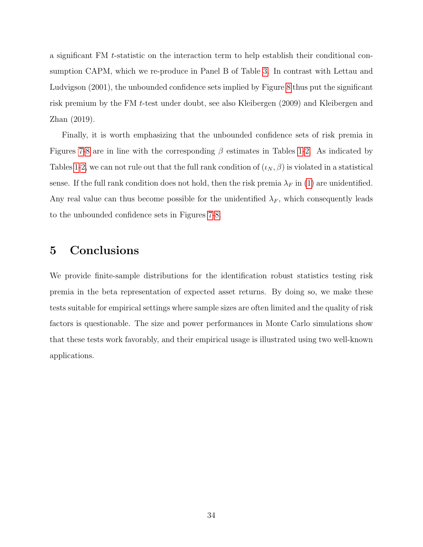a significant FM t-statistic on the interaction term to help establish their conditional consumption CAPM, which we re-produce in Panel B of Table [3.](#page-31-0) In contrast with Lettau and Ludvigson (2001), the unbounded confidence sets implied by Figure [8](#page-32-0) thus put the significant risk premium by the FM t-test under doubt, see also Kleibergen (2009) and Kleibergen and Zhan (2019).

Finally, it is worth emphasizing that the unbounded confidence sets of risk premia in Figures [7](#page-30-0)[-8](#page-32-0) are in line with the corresponding  $\beta$  estimates in Tables [1-](#page-7-0)[2.](#page-8-0) As indicated by Tables [1-](#page-7-0)[2,](#page-8-0) we can not rule out that the full rank condition of  $(\iota_N, \beta)$  is violated in a statistical sense. If the full rank condition does not hold, then the risk premia  $\lambda_F$  in [\(1\)](#page-4-1) are unidentified. Any real value can thus become possible for the unidentified  $\lambda_F$ , which consequently leads to the unbounded confidence sets in Figures [7](#page-30-0)[-8.](#page-32-0)

## <span id="page-33-0"></span>5 Conclusions

We provide finite-sample distributions for the identification robust statistics testing risk premia in the beta representation of expected asset returns. By doing so, we make these tests suitable for empirical settings where sample sizes are often limited and the quality of risk factors is questionable. The size and power performances in Monte Carlo simulations show that these tests work favorably, and their empirical usage is illustrated using two well-known applications.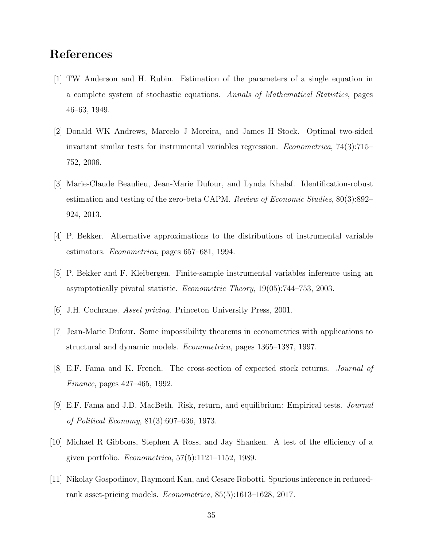## References

- [1] TW Anderson and H. Rubin. Estimation of the parameters of a single equation in a complete system of stochastic equations. Annals of Mathematical Statistics, pages 46–63, 1949.
- [2] Donald WK Andrews, Marcelo J Moreira, and James H Stock. Optimal two-sided invariant similar tests for instrumental variables regression. Econometrica, 74(3):715– 752, 2006.
- [3] Marie-Claude Beaulieu, Jean-Marie Dufour, and Lynda Khalaf. Identification-robust estimation and testing of the zero-beta CAPM. Review of Economic Studies, 80(3):892– 924, 2013.
- [4] P. Bekker. Alternative approximations to the distributions of instrumental variable estimators. Econometrica, pages 657–681, 1994.
- [5] P. Bekker and F. Kleibergen. Finite-sample instrumental variables inference using an asymptotically pivotal statistic. Econometric Theory, 19(05):744–753, 2003.
- [6] J.H. Cochrane. Asset pricing. Princeton University Press, 2001.
- [7] Jean-Marie Dufour. Some impossibility theorems in econometrics with applications to structural and dynamic models. *Econometrica*, pages 1365–1387, 1997.
- [8] E.F. Fama and K. French. The cross-section of expected stock returns. Journal of Finance, pages 427–465, 1992.
- [9] E.F. Fama and J.D. MacBeth. Risk, return, and equilibrium: Empirical tests. Journal of Political Economy, 81(3):607–636, 1973.
- [10] Michael R Gibbons, Stephen A Ross, and Jay Shanken. A test of the efficiency of a given portfolio. Econometrica, 57(5):1121–1152, 1989.
- [11] Nikolay Gospodinov, Raymond Kan, and Cesare Robotti. Spurious inference in reducedrank asset-pricing models. Econometrica, 85(5):1613–1628, 2017.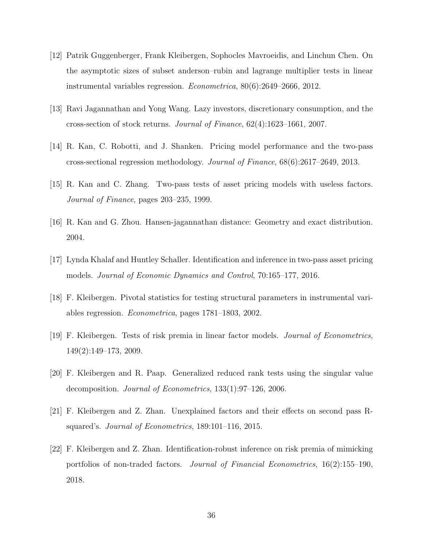- [12] Patrik Guggenberger, Frank Kleibergen, Sophocles Mavroeidis, and Linchun Chen. On the asymptotic sizes of subset anderson–rubin and lagrange multiplier tests in linear instrumental variables regression. Econometrica, 80(6):2649–2666, 2012.
- [13] Ravi Jagannathan and Yong Wang. Lazy investors, discretionary consumption, and the cross-section of stock returns. Journal of Finance, 62(4):1623–1661, 2007.
- [14] R. Kan, C. Robotti, and J. Shanken. Pricing model performance and the two-pass cross-sectional regression methodology. Journal of Finance, 68(6):2617–2649, 2013.
- [15] R. Kan and C. Zhang. Two-pass tests of asset pricing models with useless factors. Journal of Finance, pages 203–235, 1999.
- [16] R. Kan and G. Zhou. Hansen-jagannathan distance: Geometry and exact distribution. 2004.
- [17] Lynda Khalaf and Huntley Schaller. Identification and inference in two-pass asset pricing models. Journal of Economic Dynamics and Control, 70:165–177, 2016.
- [18] F. Kleibergen. Pivotal statistics for testing structural parameters in instrumental variables regression. Econometrica, pages 1781–1803, 2002.
- [19] F. Kleibergen. Tests of risk premia in linear factor models. Journal of Econometrics, 149(2):149–173, 2009.
- [20] F. Kleibergen and R. Paap. Generalized reduced rank tests using the singular value decomposition. Journal of Econometrics, 133(1):97–126, 2006.
- [21] F. Kleibergen and Z. Zhan. Unexplained factors and their effects on second pass Rsquared's. Journal of Econometrics, 189:101–116, 2015.
- [22] F. Kleibergen and Z. Zhan. Identification-robust inference on risk premia of mimicking portfolios of non-traded factors. Journal of Financial Econometrics, 16(2):155–190, 2018.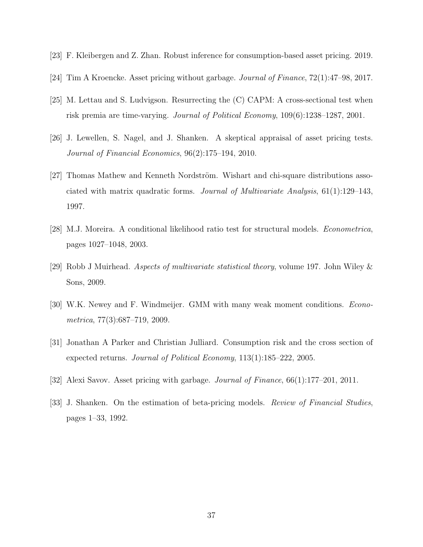- [23] F. Kleibergen and Z. Zhan. Robust inference for consumption-based asset pricing. 2019.
- [24] Tim A Kroencke. Asset pricing without garbage. Journal of Finance, 72(1):47–98, 2017.
- [25] M. Lettau and S. Ludvigson. Resurrecting the (C) CAPM: A cross-sectional test when risk premia are time-varying. Journal of Political Economy, 109(6):1238–1287, 2001.
- [26] J. Lewellen, S. Nagel, and J. Shanken. A skeptical appraisal of asset pricing tests. Journal of Financial Economics, 96(2):175–194, 2010.
- [27] Thomas Mathew and Kenneth Nordström. Wishart and chi-square distributions associated with matrix quadratic forms. Journal of Multivariate Analysis, 61(1):129–143, 1997.
- [28] M.J. Moreira. A conditional likelihood ratio test for structural models. Econometrica, pages 1027–1048, 2003.
- [29] Robb J Muirhead. Aspects of multivariate statistical theory, volume 197. John Wiley & Sons, 2009.
- [30] W.K. Newey and F. Windmeijer. GMM with many weak moment conditions. Econometrica, 77(3):687–719, 2009.
- [31] Jonathan A Parker and Christian Julliard. Consumption risk and the cross section of expected returns. Journal of Political Economy, 113(1):185–222, 2005.
- [32] Alexi Savov. Asset pricing with garbage. Journal of Finance, 66(1):177–201, 2011.
- [33] J. Shanken. On the estimation of beta-pricing models. *Review of Financial Studies*, pages 1–33, 1992.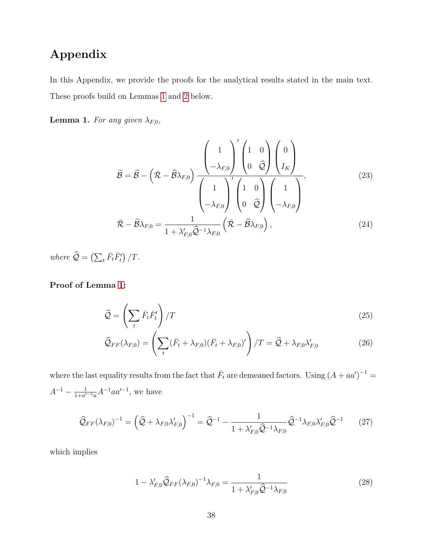# Appendix

In this Appendix, we provide the proofs for the analytical results stated in the main text. These proofs build on Lemmas [1](#page-14-1) and [2](#page-15-0) below.

**Lemma 1.** For any given  $\lambda_{F,0}$ ,

<span id="page-37-1"></span>
$$
\widetilde{\mathcal{B}} = \widehat{\mathcal{B}} - \left(\bar{\mathcal{R}} - \widehat{\mathcal{B}}\lambda_{F,0}\right) \frac{\left(1}{-\lambda_{F,0}\right)^{'} \left(10\right)}{\left(1\right)\left(1\right)\left(1\right)} \frac{\left(10\right)}{\hat{\mathcal{Q}}\left(1\right)} \frac{\left(10\right)}{\left(10\right)\left(1\right)} \frac{\left(10\right)}{\left(10\right)\left(1\right)} \frac{\left(10\right)}{\left(10\right)\left(1\right)} \frac{\left(10\right)}{\left(10\right)\left(1\right)} \frac{\left(10\right)}{\left(10\right)\left(1\right)} \frac{\left(10\right)}{\left(10\right)\left(1\right)} \frac{\left(10\right)}{\left(10\right)\left(1\right)} \frac{\left(10\right)}{\left(10\right)\left(1\right)} \frac{\left(10\right)}{\left(10\right)\left(1\right)} \frac{\left(10\right)}{\left(10\right)\left(1\right)} \frac{\left(10\right)}{\left(10\right)\left(1\right)} \frac{\left(10\right)}{\left(10\right)\left(1\right)} \frac{\left(10\right)}{\left(10\right)\left(1\right)} \frac{\left(10\right)}{\left(10\right)\left(1\right)} \frac{\left(10\right)}{\left(10\right)\left(1\right)} \frac{\left(10\right)}{\left(10\right)\left(1\right)} \frac{\left(10\right)}{\left(10\right)\left(1\right)} \frac{\left(10\right)}{\left(10\right)\left(1\right)} \frac{\left(10\right)}{\left(10\right)\left(1\right)} \frac{\left(10\right)}{\left(10\right)\left(1\right)} \frac{\left(10\right)}{\left(10\right)\left(1\right)} \frac{\left(10\right)}{\left(10\right)\left(1\right)} \frac{\left(10\right)}{\left(10\right)\left(1\right)} \frac{\left(10\right)}{\left(10\right)\left(1\right)} \frac{\left(10\right)}{\left(10\right)\left(1\right)} \frac{\left(10\right)}{\left(10\right)\left(1\right)} \frac{\left(10\right)}{\left(10\
$$

where  $\widehat{\mathcal{Q}} = \left(\sum_t \bar{F}_t \bar{F}'_t\right)/T$ .

Proof of Lemma [1:](#page-14-1)

$$
\widehat{\mathcal{Q}} = \left(\sum_{t} \bar{F}_{t} \bar{F}_{t}^{\prime}\right) / T \tag{25}
$$

$$
\widehat{\mathcal{Q}}_{FF}(\lambda_{F,0}) = \left(\sum_{t} (\bar{F}_t + \lambda_{F,0})(\bar{F}_t + \lambda_{F,0})'\right) / T = \widehat{\mathcal{Q}} + \lambda_{F,0} \lambda'_{F,0}
$$
\n(26)

where the last equality results from the fact that  $\bar{F}_t$  are demeaned factors. Using  $(A + aa')^{-1} =$  $A^{-1} - \frac{1}{1+a'}$  $\frac{1}{1+a'^{-1}a}A^{-1}aa'^{-1}$ , we have

$$
\widehat{Q}_{FF}(\lambda_{F,0})^{-1} = \left(\widehat{Q} + \lambda_{F,0}\lambda'_{F,0}\right)^{-1} = \widehat{Q}^{-1} - \frac{1}{1 + \lambda'_{F,0}\widehat{Q}^{-1}\lambda_{F,0}}\widehat{Q}^{-1}\lambda_{F,0}\lambda'_{F,0}\widehat{Q}^{-1}
$$
(27)

which implies

<span id="page-37-2"></span><span id="page-37-0"></span>
$$
1 - \lambda'_{F,0} \widehat{Q}_{FF} (\lambda_{F,0})^{-1} \lambda_{F,0} = \frac{1}{1 + \lambda'_{F,0} \widehat{Q}^{-1} \lambda_{F,0}} \tag{28}
$$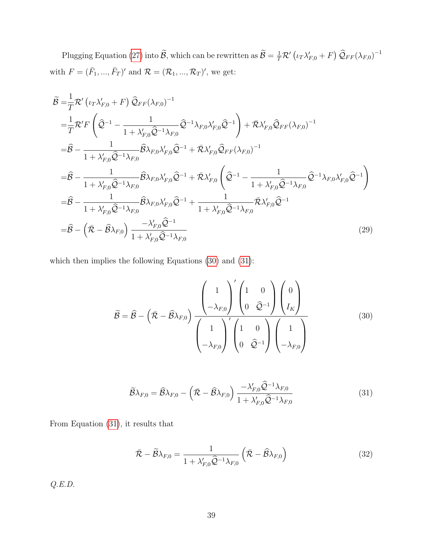Plugging Equation [\(27\)](#page-37-0) into  $\widetilde{B}$ , which can be rewritten as  $\widetilde{B} = \frac{1}{T} \mathcal{R}' (\iota_T \lambda'_{F,0} + F) \ \widehat{Q}_{FF} (\lambda_{F,0})^{-1}$ with  $F = (\bar{F}_1, ..., \bar{F}_T)'$  and  $\mathcal{R} = (\mathcal{R}_1, ..., \mathcal{R}_T)'$ , we get:

$$
\tilde{B} = \frac{1}{T} \mathcal{R}' \left( \iota_{T} \lambda'_{F,0} + F \right) \hat{Q}_{FF} (\lambda_{F,0})^{-1} \n= \frac{1}{T} \mathcal{R}' F \left( \hat{Q}^{-1} - \frac{1}{1 + \lambda'_{F,0} \hat{Q}^{-1} \lambda_{F,0}} \hat{Q}^{-1} \lambda_{F,0} \lambda'_{F,0} \hat{Q}^{-1} \right) + \bar{\mathcal{R}} \lambda'_{F,0} \hat{Q}_{FF} (\lambda_{F,0})^{-1} \n= \hat{B} - \frac{1}{1 + \lambda'_{F,0} \hat{Q}^{-1} \lambda_{F,0}} \hat{B} \lambda_{F,0} \lambda'_{F,0} \hat{Q}^{-1} + \bar{\mathcal{R}} \lambda'_{F,0} \hat{Q}_{FF} (\lambda_{F,0})^{-1} \n= \hat{B} - \frac{1}{1 + \lambda'_{F,0} \hat{Q}^{-1} \lambda_{F,0}} \hat{B} \lambda_{F,0} \lambda'_{F,0} \hat{Q}^{-1} + \bar{\mathcal{R}} \lambda'_{F,0} \left( \hat{Q}^{-1} - \frac{1}{1 + \lambda'_{F,0} \hat{Q}^{-1} \lambda_{F,0}} \hat{Q}^{-1} \lambda_{F,0} \lambda'_{F,0} \hat{Q}^{-1} \right) \n= \hat{B} - \frac{1}{1 + \lambda'_{F,0} \hat{Q}^{-1} \lambda_{F,0}} \hat{B} \lambda_{F,0} \lambda'_{F,0} \hat{Q}^{-1} + \frac{1}{1 + \lambda'_{F,0} \hat{Q}^{-1} \lambda_{F,0}} \bar{\mathcal{R}} \lambda'_{F,0} \hat{Q}^{-1} \n= \hat{B} - (\bar{\mathcal{R}} - \hat{\mathcal{B}} \lambda_{F,0}) \frac{-\lambda'_{F,0} \hat{Q}^{-1}}{1 + \lambda'_{F,0} \hat{Q}^{-1} \lambda_{F,0}} \tag{29}
$$

which then implies the following Equations [\(30\)](#page-38-0) and [\(31\)](#page-38-1):

$$
\widetilde{\mathcal{B}} = \widehat{\mathcal{B}} - \left(\bar{\mathcal{R}} - \widehat{\mathcal{B}}\lambda_{F,0}\right) \frac{\left(1}{-\lambda_{F,0}\right)^{'} \left(1 - \widehat{\mathcal{Q}}^{-1}\right) \left(0\right)}{\left(1 - \lambda_{F,0}\right)^{'} \left(1 - \widehat{\mathcal{Q}}^{-1}\right) \left(1\right)} \qquad (30)
$$

<span id="page-38-1"></span><span id="page-38-0"></span>
$$
\widetilde{\mathcal{B}}\lambda_{F,0} = \widehat{\mathcal{B}}\lambda_{F,0} - \left(\bar{\mathcal{R}} - \widehat{\mathcal{B}}\lambda_{F,0}\right) \frac{-\lambda'_{F,0}\widehat{\mathcal{Q}}^{-1}\lambda_{F,0}}{1 + \lambda'_{F,0}\widehat{\mathcal{Q}}^{-1}\lambda_{F,0}}\tag{31}
$$

From Equation [\(31\)](#page-38-1), it results that

$$
\bar{\mathcal{R}} - \widetilde{\mathcal{B}}\lambda_{F,0} = \frac{1}{1 + \lambda'_{F,0}\widehat{\mathcal{Q}}^{-1}\lambda_{F,0}} \left(\bar{\mathcal{R}} - \widehat{\mathcal{B}}\lambda_{F,0}\right)
$$
(32)

Q.E.D.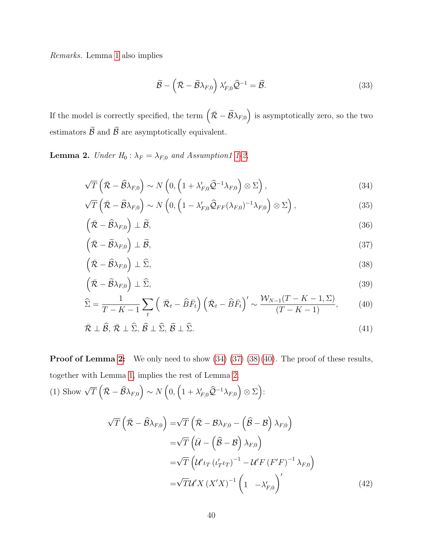Remarks. Lemma [1](#page-14-1) also implies

<span id="page-39-2"></span><span id="page-39-1"></span><span id="page-39-0"></span>
$$
\widetilde{\mathcal{B}} - \left(\bar{\mathcal{R}} - \widetilde{\mathcal{B}}\lambda_{F,0}\right)\lambda'_{F,0}\widehat{\mathcal{Q}}^{-1} = \widehat{\mathcal{B}}.
$$
\n(33)

If the model is correctly specified, the term  $(\bar{R} - \tilde{B}\lambda_{F,0})$  is asymptotically zero, so the two estimators  $\widetilde{\mathcal{B}}$  and  $\widehat{\mathcal{B}}$  are asymptotically equivalent.

**Lemma 2.** Under  $H_0: \lambda_F = \lambda_{F,0}$  and Assumption1 [1-](#page-12-0)[2,](#page-12-1)

$$
\sqrt{T}\left(\bar{\mathcal{R}} - \widehat{\mathcal{B}}\lambda_{F,0}\right) \sim N\left(0, \left(1 + \lambda'_{F,0}\widehat{\mathcal{Q}}^{-1}\lambda_{F,0}\right) \otimes \Sigma\right),\tag{34}
$$

$$
\sqrt{T}\left(\bar{\mathcal{R}} - \widetilde{\mathcal{B}}\lambda_{F,0}\right) \sim N\left(0, \left(1 - \lambda'_{F,0}\widehat{\mathcal{Q}}_{FF}(\lambda_{F,0})^{-1}\lambda_{F,0}\right) \otimes \Sigma\right),\tag{35}
$$

$$
\left(\bar{\mathcal{R}} - \widehat{\mathcal{B}}\lambda_{F,0}\right) \perp \widetilde{\mathcal{B}},\tag{36}
$$

$$
\left(\bar{\mathcal{R}} - \widetilde{\mathcal{B}}\lambda_{F,0}\right) \perp \widetilde{\mathcal{B}},\tag{37}
$$

$$
\left(\bar{\mathcal{R}} - \widehat{\mathcal{B}}\lambda_{F,0}\right) \perp \widehat{\Sigma},\tag{38}
$$

$$
\left(\bar{\mathcal{R}} - \widetilde{\mathcal{B}}\lambda_{F,0}\right) \perp \widehat{\Sigma},\tag{39}
$$

<span id="page-39-3"></span>
$$
\widehat{\Sigma} = \frac{1}{T - K - 1} \sum_{t} \left( \overline{\mathcal{R}}_{t} - \widehat{B}\overline{F}_{t} \right) \left( \overline{\mathcal{R}}_{t} - \widehat{B}\overline{F}_{t} \right)' \sim \frac{\mathcal{W}_{N-1}(T - K - 1, \Sigma)}{(T - K - 1)},\tag{40}
$$

$$
\bar{\mathcal{R}} \perp \hat{\mathcal{B}}, \bar{\mathcal{R}} \perp \hat{\Sigma}, \hat{\mathcal{B}} \perp \hat{\Sigma}, \tilde{\mathcal{B}} \perp \hat{\Sigma}.
$$
\n
$$
(41)
$$

**Proof of Lemma [2:](#page-15-0)** We only need to show  $(34)(37)(38)(40)$  $(34)(37)(38)(40)$  $(34)(37)(38)(40)$  $(34)(37)(38)(40)$ . The proof of these results, together with Lemma [1,](#page-14-1) implies the rest of Lemma [2.](#page-15-0)

(1) Show  $\sqrt{T}\left(\bar{\mathcal{R}} - \widehat{\mathcal{B}}\lambda_{F,0}\right) \sim N\left(0, \left(1 + \lambda'_{F,0}\widehat{\mathcal{Q}}^{-1}\lambda_{F,0}\right) \otimes \Sigma\right)$ :

<span id="page-39-4"></span>
$$
\sqrt{T}\left(\bar{\mathcal{R}} - \hat{\mathcal{B}}\lambda_{F,0}\right) = \sqrt{T}\left(\bar{\mathcal{R}} - \mathcal{B}\lambda_{F,0} - \left(\hat{\mathcal{B}} - \mathcal{B}\right)\lambda_{F,0}\right)
$$

$$
= \sqrt{T}\left(\bar{\mathcal{U}} - \left(\hat{\mathcal{B}} - \mathcal{B}\right)\lambda_{F,0}\right)
$$

$$
= \sqrt{T}\left(\mathcal{U'}_{LT}\left(\iota'_{T} \iota_{T}\right)^{-1} - \mathcal{U'}_{F}\left(F'F\right)^{-1}\lambda_{F,0}\right)
$$

$$
= \sqrt{T}\mathcal{U'}_{X}\left(X'X\right)^{-1}\left(1 - \lambda'_{F,0}\right)'
$$
(42)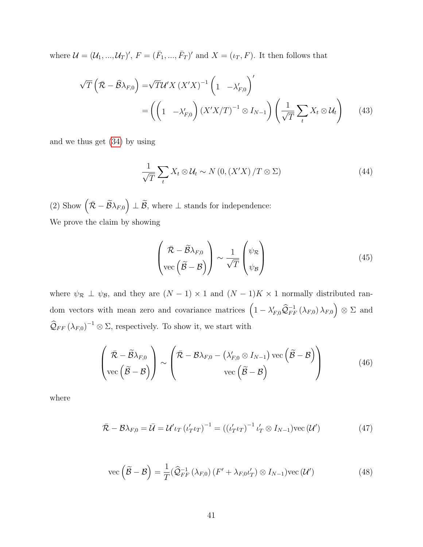where  $\mathcal{U} = (\mathcal{U}_1, ..., \mathcal{U}_T)'$ ,  $F = (\bar{F}_1, ..., \bar{F}_T)'$  and  $X = (i_T, F)$ . It then follows that

$$
\sqrt{T}\left(\bar{\mathcal{R}} - \hat{\mathcal{B}}\lambda_{F,0}\right) = \sqrt{T}\mathcal{U}'X\left(X'X\right)^{-1}\left(1 - \lambda'_{F,0}\right)'
$$

$$
= \left(\left(1 - \lambda'_{F,0}\right)\left(X'X/T\right)^{-1}\otimes I_{N-1}\right)\left(\frac{1}{\sqrt{T}}\sum_{t} X_t \otimes \mathcal{U}_t\right) \tag{43}
$$

and we thus get [\(34\)](#page-39-0) by using

$$
\frac{1}{\sqrt{T}}\sum_{t}X_{t}\otimes\mathcal{U}_{t}\sim N\left(0,\left(X'X\right)/T\otimes\Sigma\right)
$$
\n(44)

(2) Show  $(\bar{\mathcal{R}} - \widetilde{\mathcal{B}}\lambda_{F,0}) \perp \widetilde{\mathcal{B}}$ , where  $\perp$  stands for independence: We prove the claim by showing

$$
\left(\overline{\mathcal{R}} - \widetilde{\mathcal{B}}\lambda_{F,0} \atop \text{vec}\left(\widetilde{\mathcal{B}} - \mathcal{B}\right)\right) \sim \frac{1}{\sqrt{T}} \left(\psi_{\mathcal{R}} \atop \psi_{\mathcal{B}}\right)
$$
(45)

where  $\psi_{\mathcal{R}} \perp \psi_{\mathcal{B}}$ , and they are  $(N-1) \times 1$  and  $(N-1)K \times 1$  normally distributed random vectors with mean zero and covariance matrices  $(1 - \lambda'_{F,0}\hat{Q}_{FF}^{-1}(\lambda_{F,0})\lambda_{F,0}) \otimes \Sigma$  and  $\widehat{\mathcal{Q}}_{FF}(\lambda_{F,0})^{-1}\otimes\Sigma$ , respectively. To show it, we start with

$$
\left(\overline{\mathcal{R}} - \widetilde{\mathcal{B}}\lambda_{F,0}\right) \sim \left(\overline{\mathcal{R}} - \mathcal{B}\lambda_{F,0} - \left(\lambda'_{F,0} \otimes I_{N-1}\right) \text{vec}\left(\widetilde{\mathcal{B}} - \mathcal{B}\right)\right)
$$
\n
$$
\text{vec}\left(\widetilde{\mathcal{B}} - \mathcal{B}\right) \tag{46}
$$

where

$$
\bar{\mathcal{R}} - \mathcal{B}\lambda_{F,0} = \bar{\mathcal{U}} = \mathcal{U'}\iota_T \left( \iota'_T \iota_T \right)^{-1} = \left( \left( \iota'_T \iota_T \right)^{-1} \iota'_T \otimes I_{N-1} \right) \text{vec} \left( \mathcal{U'} \right) \tag{47}
$$

$$
\text{vec}\left(\widetilde{\mathcal{B}} - \mathcal{B}\right) = \frac{1}{T}(\widehat{\mathcal{Q}}_{FF}^{-1}\left(\lambda_{F,0}\right)\left(F' + \lambda_{F,0} \iota'_{T}\right) \otimes I_{N-1})\text{vec}\left(\mathcal{U}'\right) \tag{48}
$$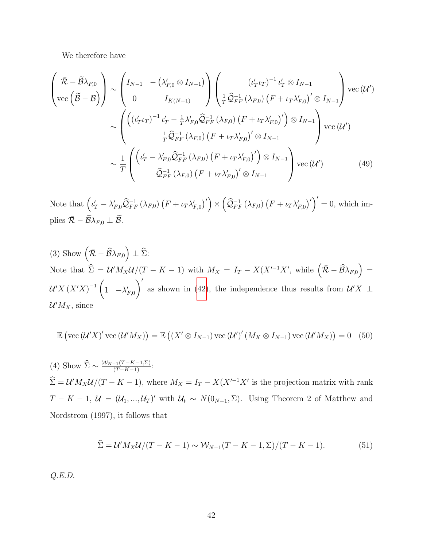We therefore have

$$
\begin{pmatrix}\n\bar{\mathcal{R}} - \tilde{\mathcal{B}}\lambda_{F,0} \\
\text{vec}\left(\tilde{\mathcal{B}} - \mathcal{B}\right)\n\end{pmatrix}\n\sim\n\begin{pmatrix}\nI_{N-1} - \left(\lambda'_{F,0} \otimes I_{N-1}\right) \\
0 & I_{K(N-1)}\n\end{pmatrix}\n\begin{pmatrix}\n\left(\iota'_{T} \iota_{T}\right)^{-1} \iota'_{T} \otimes I_{N-1} \\
\frac{1}{T} \hat{\mathcal{Q}}_{FF}^{-1} \left(\lambda_{F,0}\right) \left(F + \iota_{T} \lambda'_{F,0}\right)' \otimes I_{N-1}\n\end{pmatrix}\n\text{vec}\left(\mathcal{U}'\right)
$$
\n
$$
\sim\n\begin{pmatrix}\n\left(\left(\iota'_{T} \iota_{T}\right)^{-1} \iota'_{T} - \frac{1}{T} \lambda'_{F,0} \hat{\mathcal{Q}}_{FF}^{-1} \left(\lambda_{F,0}\right) \left(F + \iota_{T} \lambda'_{F,0}\right)'\right) \otimes I_{N-1} \\
\frac{1}{T} \hat{\mathcal{Q}}_{FF}^{-1} \left(\lambda_{F,0}\right) \left(F + \iota_{T} \lambda'_{F,0}\right)' \otimes I_{N-1}\n\end{pmatrix}\n\text{vec}\left(\mathcal{U}'\right)
$$
\n
$$
\sim \frac{1}{T}\n\begin{pmatrix}\n\left(\iota'_{T} - \lambda'_{F,0} \hat{\mathcal{Q}}_{FF}^{-1} \left(\lambda_{F,0}\right) \left(F + \iota_{T} \lambda'_{F,0}\right)'\right) \otimes I_{N-1} \\
\hat{\mathcal{Q}}_{FF}^{-1} \left(\lambda_{F,0}\right) \left(F + \iota_{T} \lambda'_{F,0}\right)' \otimes I_{N-1}\n\end{pmatrix}\n\text{vec}\left(\mathcal{U}'\right)\n\tag{49}
$$

Note that  $(\iota'_T - \lambda'_{F,0}\hat{Q}_{FF}^{-1}(\lambda_{F,0}) (F + \iota_T \lambda'_{F,0})') \times (\hat{Q}_{FF}^{-1}(\lambda_{F,0}) (F + \iota_T \lambda'_{F,0})')' = 0$ , which implies  $\overline{\mathcal{R}} - \widetilde{\mathcal{B}} \lambda_{F,0} \perp \widetilde{\mathcal{B}}.$ 

(3) Show 
$$
(\bar{\mathcal{R}} - \hat{\mathcal{B}}\lambda_{F,0}) \perp \hat{\Sigma}
$$
:  
\nNote that  $\hat{\Sigma} = \mathcal{U}' M_X \mathcal{U}/(T - K - 1)$  with  $M_X = I_T - X(X'^{-1}X')$ , while  $(\bar{\mathcal{R}} - \hat{\mathcal{B}}\lambda_{F,0}) = \mathcal{U}' X (X'X)^{-1} (1 - \lambda'_{F,0})'$  as shown in (42), the independence thus results from  $\mathcal{U}'X \perp \mathcal{U}'M_X$ , since

$$
\mathbb{E}\left(\text{vec}\left(\mathcal{U}'X\right)' \text{vec}\left(\mathcal{U}'M_X\right)\right) = \mathbb{E}\left(\left(X' \otimes I_{N-1}\right) \text{vec}\left(\mathcal{U}'\right)' \left(M_X \otimes I_{N-1}\right) \text{vec}\left(\mathcal{U}'M_X\right)\right) = 0 \quad (50)
$$

(4) Show  $\widehat{\Sigma} \sim \frac{\mathcal{W}_{N-1}(T-K-1,\Sigma)}{(T-K-1)}$ :  $\hat{\Sigma} = \mathcal{U}' M_X \mathcal{U} / (T - K - 1)$ , where  $M_X = I_T - X(X'^{-1}X')$  is the projection matrix with rank  $T - K - 1$ ,  $\mathcal{U} = (\mathcal{U}_1, ..., \mathcal{U}_T)'$  with  $\mathcal{U}_t \sim N(0_{N-1}, \Sigma)$ . Using Theorem 2 of Matthew and Nordstrom (1997), it follows that

$$
\widehat{\Sigma} = \mathcal{U}' M_X \mathcal{U} / (T - K - 1) \sim \mathcal{W}_{N-1} (T - K - 1, \Sigma) / (T - K - 1). \tag{51}
$$

Q.E.D.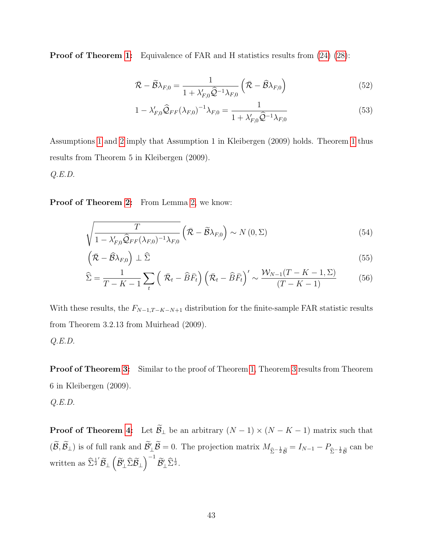**Proof of Theorem [1:](#page-14-1)** Equivalence of FAR and H statistics results from  $(24)$   $(28)$ :

$$
\bar{\mathcal{R}} - \widetilde{\mathcal{B}}\lambda_{F,0} = \frac{1}{1 + \lambda'_{F,0}\widehat{\mathcal{Q}}^{-1}\lambda_{F,0}} \left(\bar{\mathcal{R}} - \widehat{\mathcal{B}}\lambda_{F,0}\right)
$$
(52)

$$
1 - \lambda'_{F,0} \widehat{Q}_{FF} (\lambda_{F,0})^{-1} \lambda_{F,0} = \frac{1}{1 + \lambda'_{F,0} \widehat{Q}^{-1} \lambda_{F,0}} \tag{53}
$$

Assumptions [1](#page-12-0) and [2](#page-12-1) imply that Assumption 1 in Kleibergen (2009) holds. Theorem [1](#page-14-1) thus results from Theorem 5 in Kleibergen (2009).

Q.E.D.

Proof of Theorem [2:](#page-15-0) From Lemma [2,](#page-15-0) we know:

$$
\sqrt{\frac{T}{1 - \lambda'_{F,0} \hat{Q}_{FF}(\lambda_{F,0})^{-1} \lambda_{F,0}}} \left(\bar{\mathcal{R}} - \tilde{\mathcal{B}} \lambda_{F,0}\right) \sim N\left(0,\Sigma\right) \tag{54}
$$

$$
\left(\bar{\mathcal{R}} - \widehat{\mathcal{B}}\lambda_{F,0}\right) \perp \widehat{\Sigma} \tag{55}
$$

$$
\widehat{\Sigma} = \frac{1}{T - K - 1} \sum_{t} \left( \overline{\mathcal{R}}_{t} - \widehat{B} \overline{F}_{t} \right) \left( \overline{\mathcal{R}}_{t} - \widehat{B} \overline{F}_{t} \right)' \sim \frac{\mathcal{W}_{N-1}(T - K - 1, \Sigma)}{(T - K - 1)}
$$
(56)

With these results, the  $F_{N-1,T-K-N+1}$  distribution for the finite-sample FAR statistic results from Theorem 3.2.13 from Muirhead (2009). Q.E.D.

Proof of Theorem [3:](#page-17-0) Similar to the proof of Theorem [1,](#page-14-1) Theorem [3](#page-17-0) results from Theorem 6 in Kleibergen (2009).

 $Q.E.D.$ 

**Proof of Theorem [4:](#page-17-1)** Let  $\widetilde{\mathcal{B}}_{\perp}$  be an arbitrary  $(N-1) \times (N - K - 1)$  matrix such that  $(\mathcal{B}, \mathcal{B}_\perp)$  is of full rank and  $\mathcal{B}'_\perp \mathcal{B} = 0$ . The projection matrix  $M_{\hat{\Sigma}^{-\frac{1}{2}}\tilde{\mathcal{B}}} = I_{N-1} - P_{\hat{\Sigma}^{-\frac{1}{2}}\tilde{\mathcal{B}}}$ can be written as  $\widehat{\Sigma}^{\frac{1}{2}'}\widetilde{\mathcal{B}}_{\perp}\left(\widetilde{\mathcal{B}}'_{\perp}\widehat{\Sigma}\widetilde{\mathcal{B}}_{\perp}\right)^{-1}\widetilde{\mathcal{B}}'_{\perp}\widehat{\Sigma}^{\frac{1}{2}}.$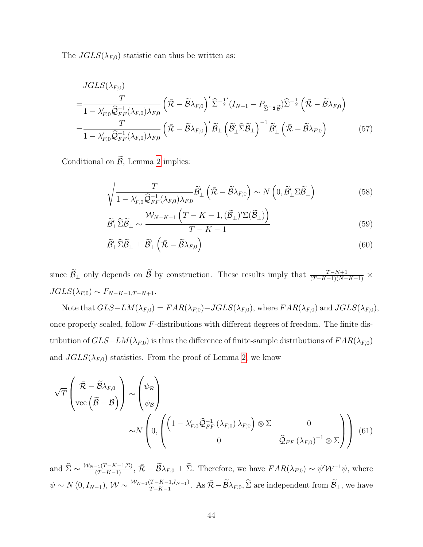The  $JGLS(\lambda_{F,0})$  statistic can thus be written as:

$$
JGLS(\lambda_{F,0})
$$
\n
$$
=\frac{T}{1-\lambda'_{F,0}\widehat{Q}_{FF}^{-1}(\lambda_{F,0})\lambda_{F,0}}\left(\bar{\mathcal{R}}-\widetilde{\mathcal{B}}\lambda_{F,0}\right)'\widehat{\Sigma}^{-\frac{1}{2}'}(I_{N-1}-P_{\widehat{\Sigma}^{-\frac{1}{2}}\widehat{\mathcal{B}}})\widehat{\Sigma}^{-\frac{1}{2}}\left(\bar{\mathcal{R}}-\widetilde{\mathcal{B}}\lambda_{F,0}\right)
$$
\n
$$
=\frac{T}{1-\lambda'_{F,0}\widehat{Q}_{FF}^{-1}(\lambda_{F,0})\lambda_{F,0}}\left(\bar{\mathcal{R}}-\widetilde{\mathcal{B}}\lambda_{F,0}\right)'\widetilde{\mathcal{B}}_{\perp}\left(\widetilde{\mathcal{B}}_{\perp}\widehat{\Sigma}\widetilde{\mathcal{B}}_{\perp}\right)^{-1}\widetilde{\mathcal{B}}_{\perp}'\left(\bar{\mathcal{R}}-\widetilde{\mathcal{B}}\lambda_{F,0}\right) \tag{57}
$$

Conditional on  $\widetilde{\mathcal{B}}$ , Lemma [2](#page-15-0) implies:

<span id="page-43-0"></span>
$$
\sqrt{\frac{T}{1 - \lambda'_{F,0} \hat{Q}_{FF}^{-1}(\lambda_{F,0}) \lambda_{F,0}}} \widetilde{\mathcal{B}}'_{\perp} \left(\bar{\mathcal{R}} - \widetilde{\mathcal{B}} \lambda_{F,0}\right) \sim N\left(0, \widetilde{\mathcal{B}}'_{\perp} \Sigma \widetilde{\mathcal{B}}_{\perp}\right) \tag{58}
$$

$$
\widetilde{\mathcal{B}}_{\perp}' \widehat{\Sigma} \widetilde{\mathcal{B}}_{\perp} \sim \frac{\mathcal{W}_{N-K-1} \left( T - K - 1, (\widetilde{\mathcal{B}}_{\perp})' \Sigma (\widetilde{\mathcal{B}}_{\perp}) \right)}{T - K - 1} \tag{59}
$$

$$
\widetilde{\mathcal{B}}'_{\perp} \widehat{\Sigma} \widetilde{\mathcal{B}}_{\perp} \perp \widetilde{\mathcal{B}}'_{\perp} \left( \bar{\mathcal{R}} - \widetilde{\mathcal{B}} \lambda_{F,0} \right) \tag{60}
$$

since  $\widetilde{\mathcal{B}}_{\perp}$  only depends on  $\widetilde{\mathcal{B}}$  by construction. These results imply that  $\frac{T-N+1}{(T-K-1)(N-K-1)} \times$  $JGLS(\lambda_{F,0}) \sim F_{N-K-1,T-N+1}.$ 

Note that  $GLS-LM(\lambda_{F,0}) = FAR(\lambda_{F,0}) - JGLS(\lambda_{F,0})$ , where  $FAR(\lambda_{F,0})$  and  $JGLS(\lambda_{F,0})$ , once properly scaled, follow F-distributions with different degrees of freedom. The finite distribution of  $GLS-LM(\lambda_{F,0})$  is thus the difference of finite-sample distributions of  $FAR(\lambda_{F,0})$ and  $JGLS(\lambda_{F,0})$  statistics. From the proof of Lemma [2,](#page-15-0) we know

$$
\sqrt{T}\begin{pmatrix} \bar{\mathcal{R}} - \tilde{\mathcal{B}}\lambda_{F,0} \\ \text{vec}\left(\tilde{\mathcal{B}} - \mathcal{B}\right) \end{pmatrix} \sim \begin{pmatrix} \psi_{\mathcal{R}} \\ \psi_{\mathcal{B}} \end{pmatrix} \sim N \begin{pmatrix} \psi_{\mathcal{R}} \\ 0, \begin{pmatrix} \left(1 - \lambda'_{F,0}\widehat{\mathcal{Q}}_{FF}^{-1}(\lambda_{F,0})\lambda_{F,0}\right) \otimes \Sigma & 0 \\ 0 & \widehat{\mathcal{Q}}_{FF}(\lambda_{F,0})^{-1} \otimes \Sigma \end{pmatrix} \end{pmatrix} (61)
$$

and  $\hat{\Sigma} \sim \frac{\mathcal{W}_{N-1}(T-K-1,\Sigma)}{(T-K-1)}, \bar{\mathcal{R}} - \tilde{\mathcal{B}}\lambda_{F,0} \perp \hat{\Sigma}$ . Therefore, we have  $FAR(\lambda_{F,0}) \sim \psi' \mathcal{W}^{-1} \psi$ , where  $\psi \sim N(0, I_{N-1}), \mathcal{W} \sim \frac{\mathcal{W}_{N-1}(T-K-1,I_{N-1})}{T-K-1}$ . As  $\bar{\mathcal{R}} - \widetilde{\mathcal{B}} \lambda_{F,0}, \widehat{\Sigma}$  are independent from  $\widetilde{\mathcal{B}}_{\perp}$ , we have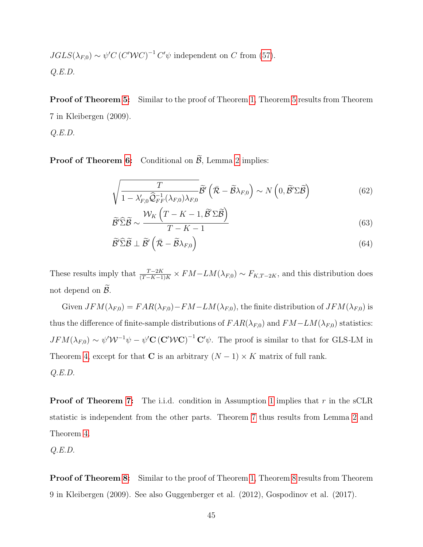$$
JGLS(\lambda_{F,0}) \sim \psi' C (C'WC)^{-1} C' \psi
$$
 independent on C from (57).  
Q.E.D.

Proof of Theorem [5:](#page-18-0) Similar to the proof of Theorem [1,](#page-14-1) Theorem [5](#page-18-0) results from Theorem 7 in Kleibergen (2009).

 $Q.E.D.$ 

**Proof of Theorem [6:](#page-19-0)** Conditional on  $\widetilde{\beta}$ , Lemma [2](#page-15-0) implies:

$$
\sqrt{\frac{T}{1 - \lambda'_{F,0} \hat{\mathcal{Q}}_{FF}^{-1}(\lambda_{F,0}) \lambda_{F,0}}} \tilde{\mathcal{B}}' \left(\bar{\mathcal{R}} - \tilde{\mathcal{B}} \lambda_{F,0}\right) \sim N\left(0, \tilde{\mathcal{B}}' \Sigma \tilde{\mathcal{B}}\right)
$$
(62)

$$
\widetilde{\mathcal{B}}'\widehat{\Sigma}\widetilde{\mathcal{B}} \sim \frac{\mathcal{W}_K\left(T-K-1,\widetilde{\mathcal{B}}'\Sigma\widetilde{\mathcal{B}}\right)}{T-K-1}
$$
\n(63)

$$
\widetilde{\mathcal{B}}'\widehat{\Sigma}\widetilde{\mathcal{B}}\perp\widetilde{\mathcal{B}}'\left(\bar{\mathcal{R}}-\widetilde{\mathcal{B}}\lambda_{F,0}\right) \tag{64}
$$

These results imply that  $\frac{T-2K}{(T-K-1)K} \times FM-LM(\lambda_{F,0}) \sim F_{K,T-2K}$ , and this distribution does not depend on  $B$ .

Given  $JFM(\lambda_{F,0}) = FAR(\lambda_{F,0}) - FM-LM(\lambda_{F,0})$ , the finite distribution of  $JFM(\lambda_{F,0})$  is thus the difference of finite-sample distributions of  $FAR(\lambda_{F,0})$  and  $FM-LM(\lambda_{F,0})$  statistics:  $JFM(\lambda_{F,0}) \sim \psi' \mathcal{W}^{-1} \psi - \psi' \mathbf{C} (\mathbf{C}'\mathcal{W}\mathbf{C})^{-1} \mathbf{C}' \psi$ . The proof is similar to that for GLS-LM in Theorem [4,](#page-17-1) except for that C is an arbitrary  $(N-1) \times K$  matrix of full rank.  $Q.E.D.$ 

**Proof of Theorem [7:](#page-20-0)** The i.i.d. condition in Assumption [1](#page-12-0) implies that r in the sCLR statistic is independent from the other parts. Theorem [7](#page-20-0) thus results from Lemma [2](#page-15-0) and Theorem [4.](#page-17-1)

 $Q.E.D.$ 

Proof of Theorem [8:](#page-21-0) Similar to the proof of Theorem [1,](#page-14-1) Theorem [8](#page-21-0) results from Theorem 9 in Kleibergen (2009). See also Guggenberger et al. (2012), Gospodinov et al. (2017).